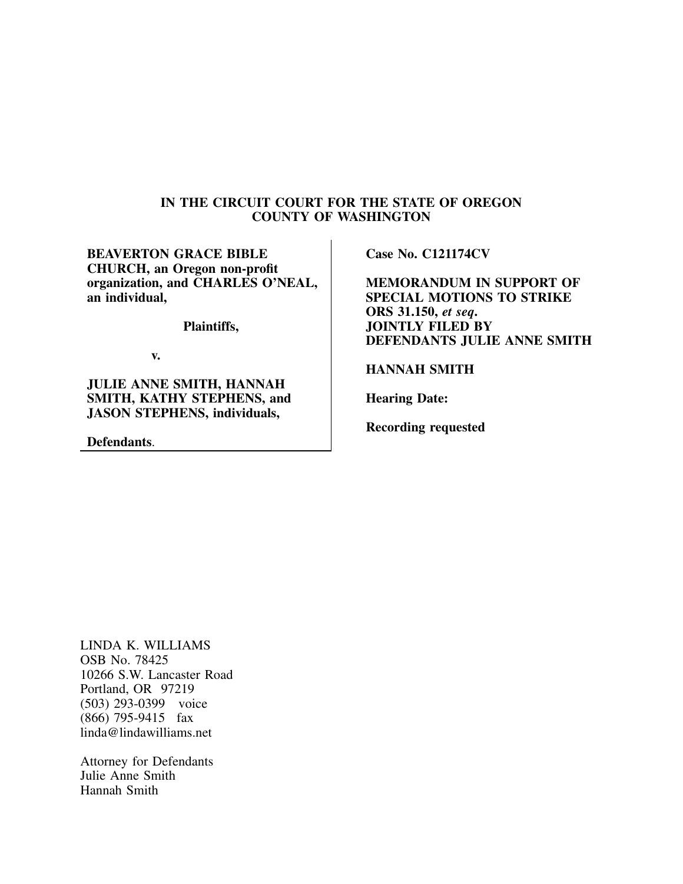## **IN THE CIRCUIT COURT FOR THE STATE OF OREGON COUNTY OF WASHINGTON**

**BEAVERTON GRACE BIBLE CHURCH, an Oregon non-profit organization, and CHARLES O'NEAL, an individual,**

**Plaintiffs,**

**v.**

**JULIE ANNE SMITH, HANNAH SMITH, KATHY STEPHENS, and JASON STEPHENS, individuals,**

**Defendants**.

**Case No. C121174CV**

**MEMORANDUM IN SUPPORT OF SPECIAL MOTIONS TO STRIKE ORS 31.150,** *et seq***. JOINTLY FILED BY DEFENDANTS JULIE ANNE SMITH**

**HANNAH SMITH**

**Hearing Date:**

**Recording requested**

LINDA K. WILLIAMS OSB No. 78425 10266 S.W. Lancaster Road Portland, OR 97219 (503) 293-0399 voice (866) 795-9415 fax linda@lindawilliams.net

Attorney for Defendants Julie Anne Smith Hannah Smith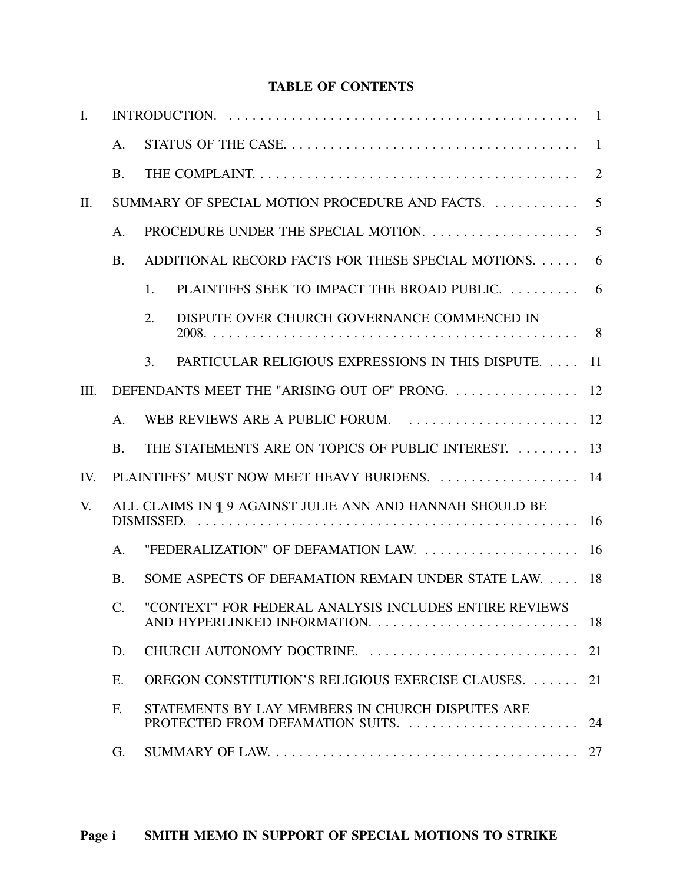## **TABLE OF CONTENTS**

| $\mathbf{I}$ . |           |                                                                                                                 |                |  |
|----------------|-----------|-----------------------------------------------------------------------------------------------------------------|----------------|--|
|                | A.        |                                                                                                                 |                |  |
|                | <b>B.</b> |                                                                                                                 | $\overline{2}$ |  |
| II.            |           | SUMMARY OF SPECIAL MOTION PROCEDURE AND FACTS.                                                                  | 5              |  |
|                | A.        | PROCEDURE UNDER THE SPECIAL MOTION.                                                                             | 5              |  |
|                | <b>B.</b> | ADDITIONAL RECORD FACTS FOR THESE SPECIAL MOTIONS.                                                              | 6              |  |
|                |           | PLAINTIFFS SEEK TO IMPACT THE BROAD PUBLIC.  6<br>1.                                                            |                |  |
|                |           | DISPUTE OVER CHURCH GOVERNANCE COMMENCED IN<br>2.                                                               |                |  |
|                |           | PARTICULAR RELIGIOUS EXPRESSIONS IN THIS DISPUTE.<br>3.                                                         | 11             |  |
| III.           |           | DEFENDANTS MEET THE "ARISING OUT OF" PRONG                                                                      | 12             |  |
|                | A.        | WEB REVIEWS ARE A PUBLIC FORUM.                                                                                 | 12             |  |
|                | <b>B.</b> | THE STATEMENTS ARE ON TOPICS OF PUBLIC INTEREST.                                                                | 13             |  |
| IV.            |           | PLAINTIFFS' MUST NOW MEET HEAVY BURDENS.  14                                                                    |                |  |
| V.             |           | ALL CLAIMS IN ¶ 9 AGAINST JULIE ANN AND HANNAH SHOULD BE                                                        |                |  |
|                | A.        | "FEDERALIZATION" OF DEFAMATION LAW.                                                                             | 16             |  |
|                | <b>B.</b> | SOME ASPECTS OF DEFAMATION REMAIN UNDER STATE LAW.                                                              | 18             |  |
|                | $C$ .     | "CONTEXT" FOR FEDERAL ANALYSIS INCLUDES ENTIRE REVIEWS                                                          |                |  |
|                | D.        | CHURCH AUTONOMY DOCTRINE.                                                                                       | 21             |  |
|                | E.        | OREGON CONSTITUTION'S RELIGIOUS EXERCISE CLAUSES.                                                               | 21             |  |
|                | F.        | STATEMENTS BY LAY MEMBERS IN CHURCH DISPUTES ARE                                                                | 24             |  |
|                | G.        | SUMMARY OF LAW. $\ldots \ldots \ldots \ldots \ldots \ldots \ldots \ldots \ldots \ldots \ldots \ldots \ldots 27$ |                |  |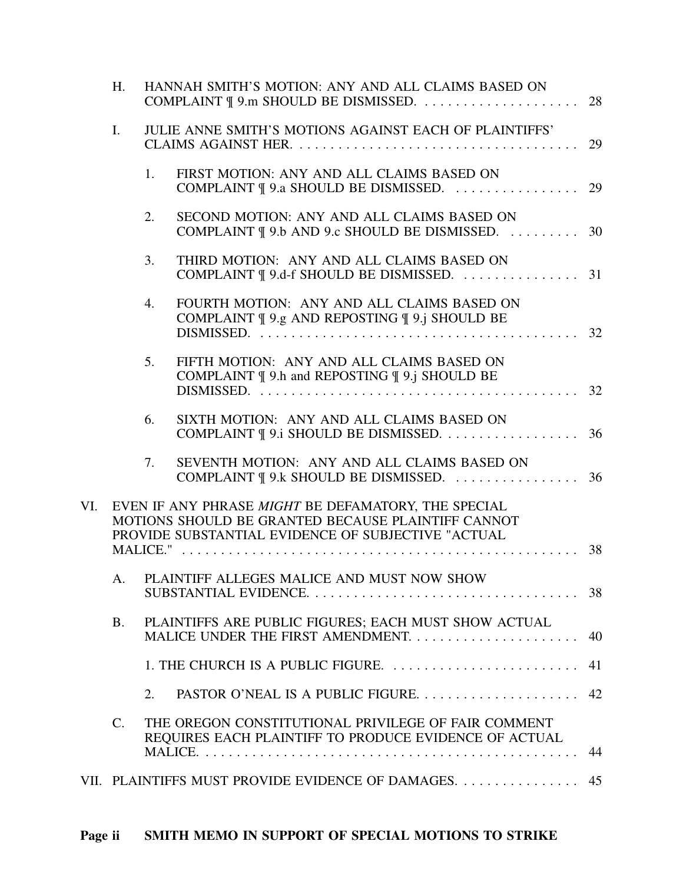|     | H.             |    | HANNAH SMITH'S MOTION: ANY AND ALL CLAIMS BASED ON                                                                                                              |     |
|-----|----------------|----|-----------------------------------------------------------------------------------------------------------------------------------------------------------------|-----|
|     | $\mathbf{I}$ . |    | <b>JULIE ANNE SMITH'S MOTIONS AGAINST EACH OF PLAINTIFFS'</b>                                                                                                   | 29  |
|     |                | 1. | FIRST MOTION: ANY AND ALL CLAIMS BASED ON                                                                                                                       |     |
|     |                | 2. | SECOND MOTION: ANY AND ALL CLAIMS BASED ON<br>COMPLAINT   9.b AND 9.c SHOULD BE DISMISSED.  30                                                                  |     |
|     |                | 3. | THIRD MOTION: ANY AND ALL CLAIMS BASED ON                                                                                                                       |     |
|     |                | 4. | FOURTH MOTION: ANY AND ALL CLAIMS BASED ON<br>COMPLAINT ¶ 9.g AND REPOSTING ¶ 9.j SHOULD BE                                                                     |     |
|     |                | 5. | FIFTH MOTION: ANY AND ALL CLAIMS BASED ON<br>COMPLAINT ¶ 9.h and REPOSTING ¶ 9.j SHOULD BE                                                                      |     |
|     |                | 6. | SIXTH MOTION: ANY AND ALL CLAIMS BASED ON<br>COMPLAINT   9.1 SHOULD BE DISMISSED. 36                                                                            |     |
|     |                | 7. | SEVENTH MOTION: ANY AND ALL CLAIMS BASED ON                                                                                                                     |     |
| VI. |                |    | EVEN IF ANY PHRASE MIGHT BE DEFAMATORY, THE SPECIAL<br>MOTIONS SHOULD BE GRANTED BECAUSE PLAINTIFF CANNOT<br>PROVIDE SUBSTANTIAL EVIDENCE OF SUBJECTIVE "ACTUAL |     |
|     |                |    |                                                                                                                                                                 |     |
|     |                |    | A. PLAINTIFF ALLEGES MALICE AND MUST NOW SHOW                                                                                                                   |     |
|     | <b>B.</b>      |    | PLAINTIFFS ARE PUBLIC FIGURES; EACH MUST SHOW ACTUAL                                                                                                            | -40 |
|     |                |    | 1. THE CHURCH IS A PUBLIC FIGURE.                                                                                                                               | 41  |
|     |                | 2. | PASTOR O'NEAL IS A PUBLIC FIGURE                                                                                                                                | 42  |
|     | $C_{\cdot}$    |    | THE OREGON CONSTITUTIONAL PRIVILEGE OF FAIR COMMENT<br>REQUIRES EACH PLAINTIFF TO PRODUCE EVIDENCE OF ACTUAL                                                    | 44  |
|     |                |    | VII. PLAINTIFFS MUST PROVIDE EVIDENCE OF DAMAGES 45                                                                                                             |     |
|     |                |    |                                                                                                                                                                 |     |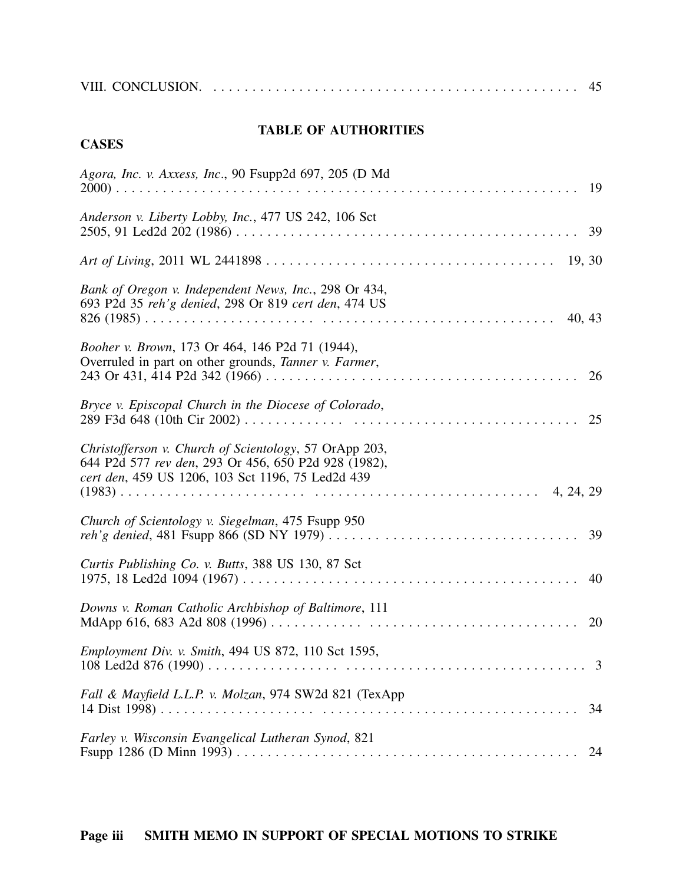# **TABLE OF AUTHORITIES**

# **CASES**

| Agora, Inc. v. Axxess, Inc., 90 Fsupp2d 697, 205 (D Md                                                                                                              |    |
|---------------------------------------------------------------------------------------------------------------------------------------------------------------------|----|
| Anderson v. Liberty Lobby, Inc., 477 US 242, 106 Sct                                                                                                                |    |
|                                                                                                                                                                     |    |
| Bank of Oregon v. Independent News, Inc., 298 Or 434,<br>693 P2d 35 reh'g denied, 298 Or 819 cert den, 474 US<br>40, 43                                             |    |
| Booher v. Brown, 173 Or 464, 146 P2d 71 (1944),<br>Overruled in part on other grounds, Tanner v. Farmer,                                                            | 26 |
| Bryce v. Episcopal Church in the Diocese of Colorado,                                                                                                               | 25 |
| Christofferson v. Church of Scientology, 57 OrApp 203,<br>644 P2d 577 rev den, 293 Or 456, 650 P2d 928 (1982),<br>cert den, 459 US 1206, 103 Sct 1196, 75 Led2d 439 |    |
| Church of Scientology v. Siegelman, 475 Fsupp 950                                                                                                                   | 39 |
| Curtis Publishing Co. v. Butts, 388 US 130, 87 Sct                                                                                                                  | 40 |
| Downs v. Roman Catholic Archbishop of Baltimore, 111                                                                                                                | 20 |
| Employment Div. v. Smith, 494 US 872, 110 Sct 1595,<br>108 Led2d 876 (1990)                                                                                         | 3  |
| Fall & Mayfield L.L.P. v. Molzan, 974 SW2d 821 (TexApp                                                                                                              | 34 |
| Farley v. Wisconsin Evangelical Lutheran Synod, 821                                                                                                                 | 24 |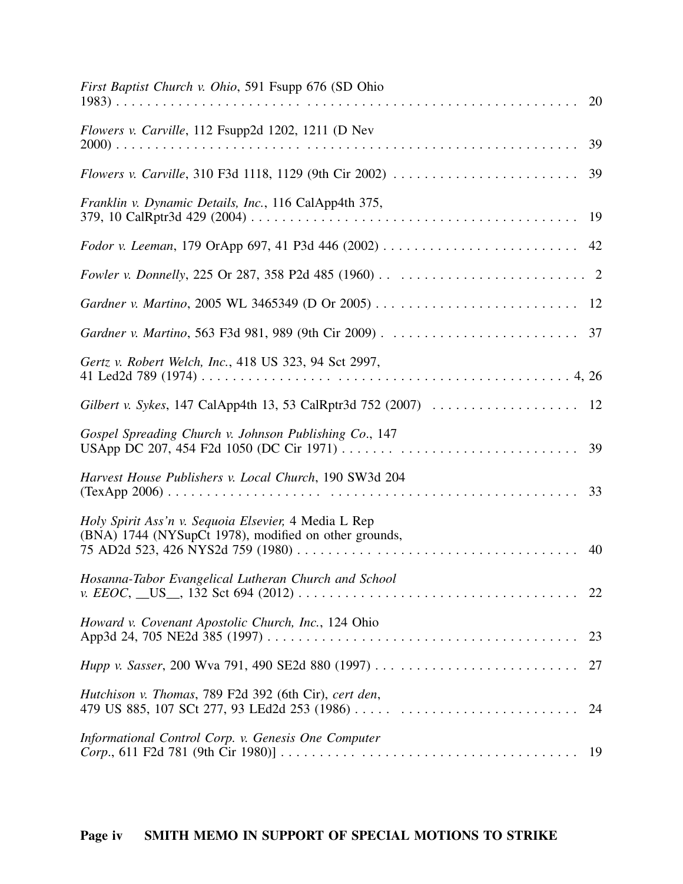| First Baptist Church v. Ohio, 591 Fsupp 676 (SD Ohio                                                          |
|---------------------------------------------------------------------------------------------------------------|
| Flowers v. Carville, 112 Fsupp2d 1202, 1211 (D Nev<br>39                                                      |
| 39                                                                                                            |
| Franklin v. Dynamic Details, Inc., 116 CalApp4th 375,                                                         |
|                                                                                                               |
|                                                                                                               |
|                                                                                                               |
|                                                                                                               |
| Gertz v. Robert Welch, Inc., 418 US 323, 94 Sct 2997,                                                         |
| Gilbert v. Sykes, 147 CalApp4th 13, 53 CalRptr3d 752 (2007)<br>12                                             |
| Gospel Spreading Church v. Johnson Publishing Co., 147                                                        |
| Harvest House Publishers v. Local Church, 190 SW3d 204                                                        |
| Holy Spirit Ass'n v. Sequoia Elsevier, 4 Media L Rep<br>(BNA) 1744 (NYSupCt 1978), modified on other grounds, |
| Hosanna-Tabor Evangelical Lutheran Church and School<br>22                                                    |
| Howard v. Covenant Apostolic Church, Inc., 124 Ohio<br>23                                                     |
| 27                                                                                                            |
| Hutchison v. Thomas, 789 F2d 392 (6th Cir), cert den,<br>479 US 885, 107 SCt 277, 93 LEd2d 253 (1986)<br>24   |
| Informational Control Corp. v. Genesis One Computer<br>-19                                                    |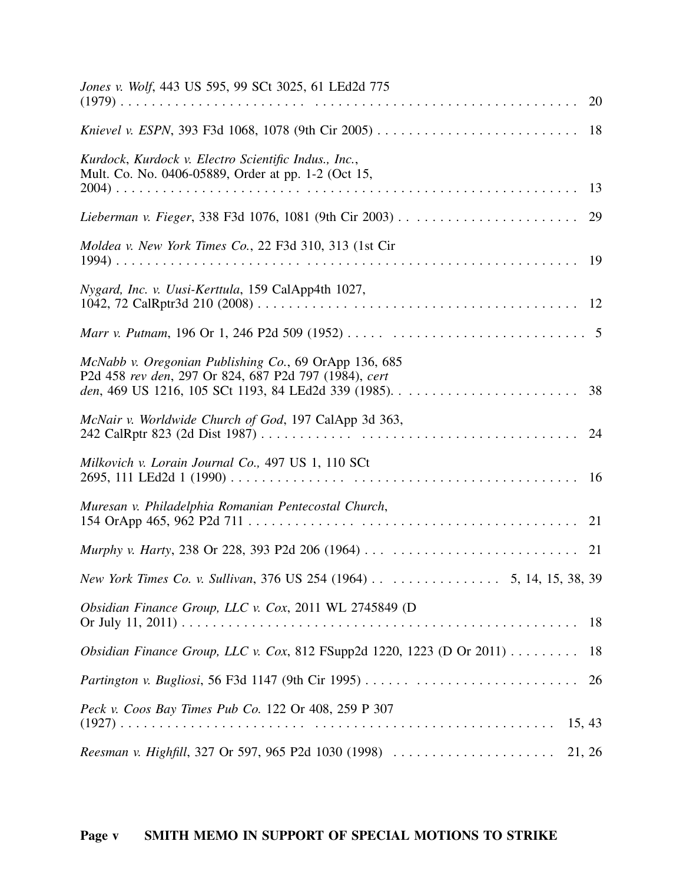| Jones v. Wolf, 443 US 595, 99 SCt 3025, 61 LEd2d 775                                                           |    |
|----------------------------------------------------------------------------------------------------------------|----|
|                                                                                                                |    |
| Kurdock, Kurdock v. Electro Scientific Indus., Inc.,<br>Mult. Co. No. 0406-05889, Order at pp. 1-2 (Oct 15,    |    |
|                                                                                                                | 29 |
| Moldea v. New York Times Co., 22 F3d 310, 313 (1st Cir                                                         |    |
| Nygard, Inc. v. Uusi-Kerttula, 159 CalApp4th 1027,                                                             |    |
|                                                                                                                |    |
| McNabb v. Oregonian Publishing Co., 69 OrApp 136, 685<br>P2d 458 rev den, 297 Or 824, 687 P2d 797 (1984), cert | 38 |
| McNair v. Worldwide Church of God, 197 CalApp 3d 363,                                                          | 24 |
| Milkovich v. Lorain Journal Co., 497 US 1, 110 SCt                                                             |    |
| Muresan v. Philadelphia Romanian Pentecostal Church,                                                           |    |
|                                                                                                                |    |
| New York Times Co. v. Sullivan, 376 US 254 (1964) 5, 14, 15, 38, 39                                            |    |
| Obsidian Finance Group, LLC v. Cox, 2011 WL 2745849 (D                                                         | 18 |
| Obsidian Finance Group, LLC v. Cox, 812 FSupp2d 1220, 1223 (D Or 2011) $\dots \dots$                           | 18 |
| Partington v. Bugliosi, 56 F3d 1147 (9th Cir 1995)                                                             | 26 |
| Peck v. Coos Bay Times Pub Co. 122 Or 408, 259 P 307<br>15, 43                                                 |    |
| Reesman v. Highfill, 327 Or 597, 965 P2d 1030 (1998)<br>21, 26                                                 |    |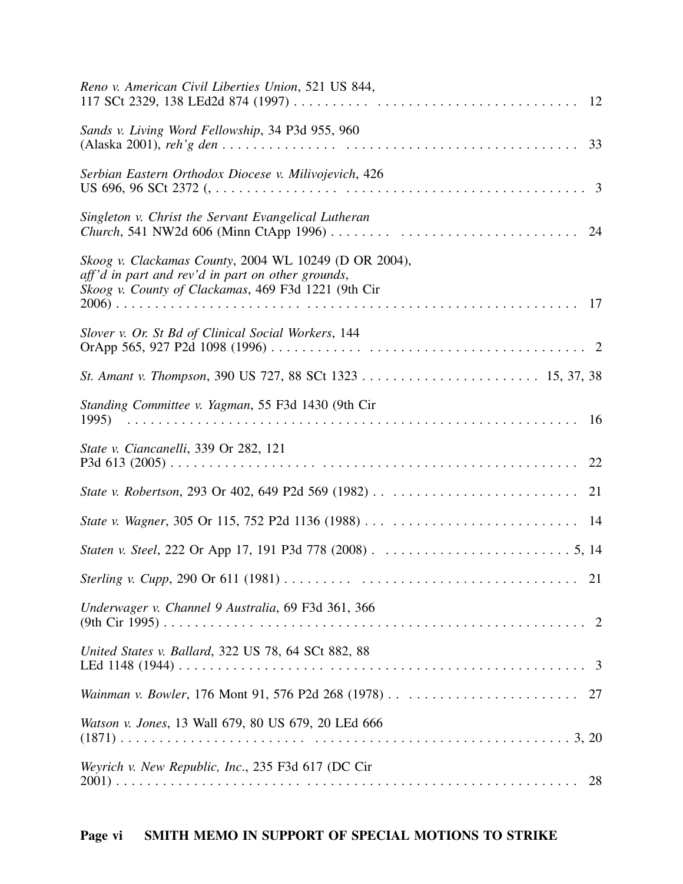| Reno v. American Civil Liberties Union, 521 US 844,                                                                                                               |
|-------------------------------------------------------------------------------------------------------------------------------------------------------------------|
| Sands v. Living Word Fellowship, 34 P3d 955, 960                                                                                                                  |
| Serbian Eastern Orthodox Diocese v. Milivojevich, 426                                                                                                             |
| Singleton v. Christ the Servant Evangelical Lutheran                                                                                                              |
| Skoog v. Clackamas County, 2004 WL 10249 (D OR 2004),<br>aff'd in part and rev'd in part on other grounds,<br>Skoog v. County of Clackamas, 469 F3d 1221 (9th Cir |
| Slover v. Or. St Bd of Clinical Social Workers, 144                                                                                                               |
|                                                                                                                                                                   |
| Standing Committee v. Yagman, 55 F3d 1430 (9th Cir                                                                                                                |
| <i>State v. Ciancanelli, 339 Or 282, 121</i>                                                                                                                      |
|                                                                                                                                                                   |
|                                                                                                                                                                   |
|                                                                                                                                                                   |
| 21                                                                                                                                                                |
| Underwager v. Channel 9 Australia, 69 F3d 361, 366                                                                                                                |
| United States v. Ballard, 322 US 78, 64 SCt 882, 88                                                                                                               |
|                                                                                                                                                                   |
| Watson v. Jones, 13 Wall 679, 80 US 679, 20 LEd 666                                                                                                               |
| Weyrich v. New Republic, Inc., 235 F3d 617 (DC Cir<br>28                                                                                                          |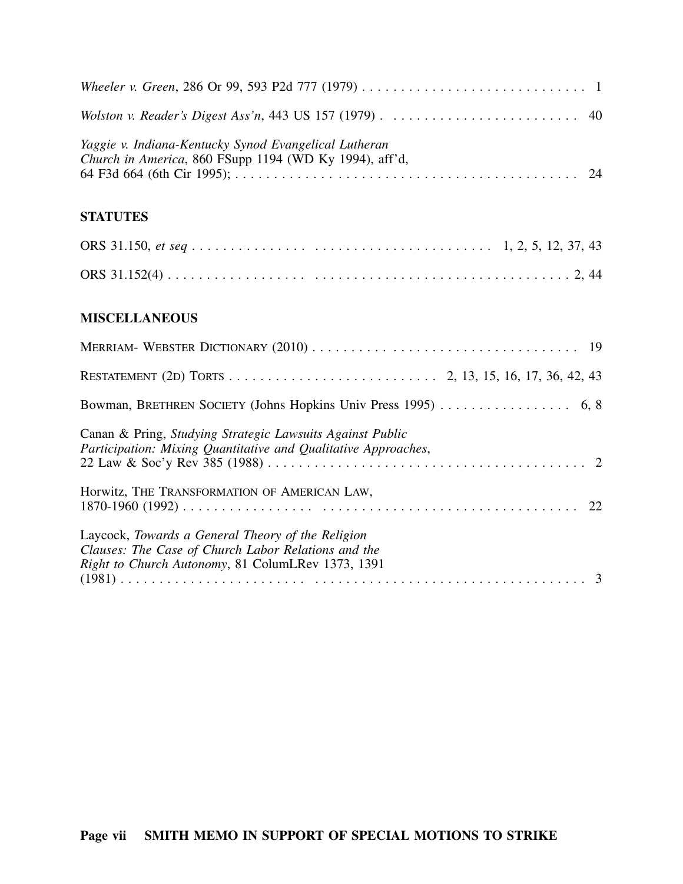| Yaggie v. Indiana-Kentucky Synod Evangelical Lutheran<br>Church in America, 860 FSupp 1194 (WD Ky 1994), aff'd,                                               |
|---------------------------------------------------------------------------------------------------------------------------------------------------------------|
| <b>STATUTES</b>                                                                                                                                               |
|                                                                                                                                                               |
|                                                                                                                                                               |
| <b>MISCELLANEOUS</b>                                                                                                                                          |
|                                                                                                                                                               |
|                                                                                                                                                               |
|                                                                                                                                                               |
| Canan & Pring, Studying Strategic Lawsuits Against Public<br>Participation: Mixing Quantitative and Qualitative Approaches,                                   |
| Horwitz, THE TRANSFORMATION OF AMERICAN LAW,                                                                                                                  |
| Laycock, Towards a General Theory of the Religion<br>Clauses: The Case of Church Labor Relations and the<br>Right to Church Autonomy, 81 ColumLRev 1373, 1391 |
|                                                                                                                                                               |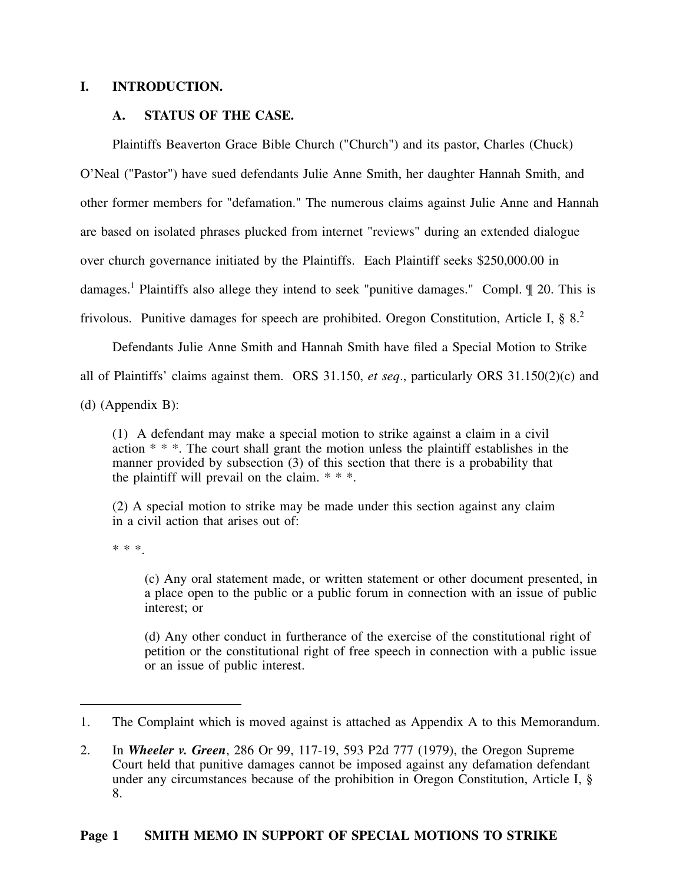### **I. INTRODUCTION.**

### **A. STATUS OF THE CASE.**

Plaintiffs Beaverton Grace Bible Church ("Church") and its pastor, Charles (Chuck) O'Neal ("Pastor") have sued defendants Julie Anne Smith, her daughter Hannah Smith, and other former members for "defamation." The numerous claims against Julie Anne and Hannah are based on isolated phrases plucked from internet "reviews" during an extended dialogue over church governance initiated by the Plaintiffs. Each Plaintiff seeks \$250,000.00 in damages.<sup>1</sup> Plaintiffs also allege they intend to seek "punitive damages." Compl. ¶ 20. This is frivolous. Punitive damages for speech are prohibited. Oregon Constitution, Article I, § 8.<sup>2</sup>

Defendants Julie Anne Smith and Hannah Smith have filed a Special Motion to Strike all of Plaintiffs' claims against them. ORS 31.150, *et seq*., particularly ORS 31.150(2)(c) and (d) (Appendix B):

(1) A defendant may make a special motion to strike against a claim in a civil action \* \* \*. The court shall grant the motion unless the plaintiff establishes in the manner provided by subsection (3) of this section that there is a probability that the plaintiff will prevail on the claim.  $* * *$ .

(2) A special motion to strike may be made under this section against any claim in a civil action that arises out of:

\* \* \*.

(c) Any oral statement made, or written statement or other document presented, in a place open to the public or a public forum in connection with an issue of public interest; or

(d) Any other conduct in furtherance of the exercise of the constitutional right of petition or the constitutional right of free speech in connection with a public issue or an issue of public interest.

<sup>1.</sup> The Complaint which is moved against is attached as Appendix A to this Memorandum.

<sup>2.</sup> In *Wheeler v. Green*, 286 Or 99, 117-19, 593 P2d 777 (1979), the Oregon Supreme Court held that punitive damages cannot be imposed against any defamation defendant under any circumstances because of the prohibition in Oregon Constitution, Article I, § 8.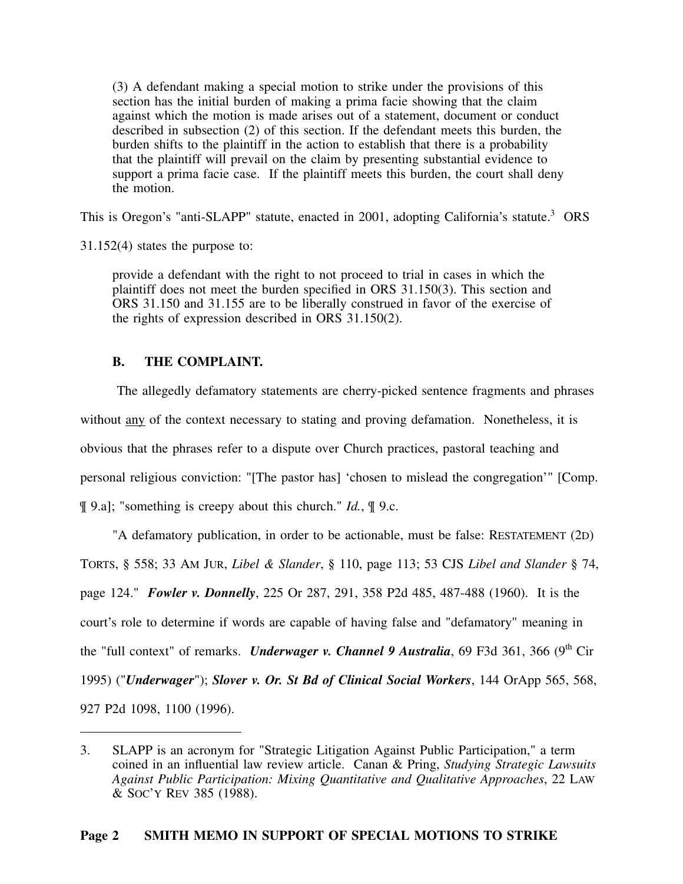(3) A defendant making a special motion to strike under the provisions of this section has the initial burden of making a prima facie showing that the claim against which the motion is made arises out of a statement, document or conduct described in subsection (2) of this section. If the defendant meets this burden, the burden shifts to the plaintiff in the action to establish that there is a probability that the plaintiff will prevail on the claim by presenting substantial evidence to support a prima facie case. If the plaintiff meets this burden, the court shall deny the motion.

This is Oregon's "anti-SLAPP" statute, enacted in 2001, adopting California's statute.<sup>3</sup> ORS

31.152(4) states the purpose to:

provide a defendant with the right to not proceed to trial in cases in which the plaintiff does not meet the burden specified in ORS 31.150(3). This section and ORS 31.150 and 31.155 are to be liberally construed in favor of the exercise of the rights of expression described in ORS 31.150(2).

## **B. THE COMPLAINT.**

The allegedly defamatory statements are cherry-picked sentence fragments and phrases without any of the context necessary to stating and proving defamation. Nonetheless, it is obvious that the phrases refer to a dispute over Church practices, pastoral teaching and personal religious conviction: "[The pastor has] 'chosen to mislead the congregation'" [Comp. ¶ 9.a]; "something is creepy about this church." *Id.*, ¶ 9.c.

"A defamatory publication, in order to be actionable, must be false: RESTATEMENT (2D) TORTS, § 558; 33 AM JUR, *Libel & Slander*, § 110, page 113; 53 CJS *Libel and Slander* § 74, page 124." *Fowler v. Donnelly*, 225 Or 287, 291, 358 P2d 485, 487-488 (1960). It is the court's role to determine if words are capable of having false and "defamatory" meaning in the "full context" of remarks. *Underwager v. Channel 9 Australia*, 69 F3d 361, 366 (9<sup>th</sup> Cir 1995) ("*Underwager*"); *Slover v. Or. St Bd of Clinical Social Workers*, 144 OrApp 565, 568, 927 P2d 1098, 1100 (1996).

<sup>3.</sup> SLAPP is an acronym for "Strategic Litigation Against Public Participation," a term coined in an influential law review article. Canan & Pring, *Studying Strategic Lawsuits Against Public Participation: Mixing Quantitative and Qualitative Approaches*, 22 LAW & SOC'Y REV 385 (1988).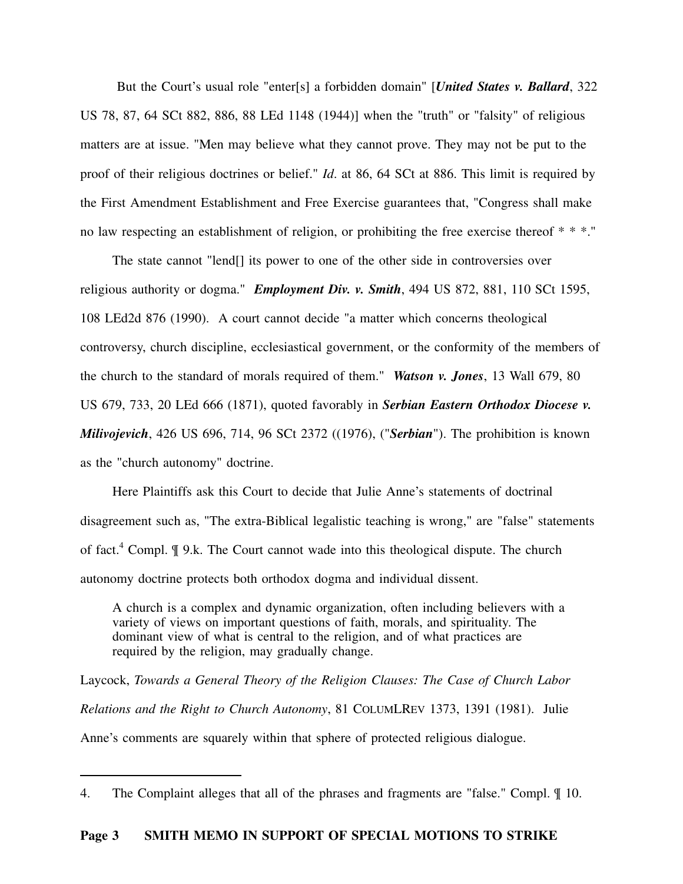But the Court's usual role "enter[s] a forbidden domain" [*United States v. Ballard*, 322 US 78, 87, 64 SCt 882, 886, 88 LEd 1148 (1944)] when the "truth" or "falsity" of religious matters are at issue. "Men may believe what they cannot prove. They may not be put to the proof of their religious doctrines or belief." *Id*. at 86, 64 SCt at 886. This limit is required by the First Amendment Establishment and Free Exercise guarantees that, "Congress shall make no law respecting an establishment of religion, or prohibiting the free exercise thereof \* \* \*."

The state cannot "lend[] its power to one of the other side in controversies over religious authority or dogma." *Employment Div. v. Smith*, 494 US 872, 881, 110 SCt 1595, 108 LEd2d 876 (1990). A court cannot decide "a matter which concerns theological controversy, church discipline, ecclesiastical government, or the conformity of the members of the church to the standard of morals required of them." *Watson v. Jones*, 13 Wall 679, 80 US 679, 733, 20 LEd 666 (1871), quoted favorably in *Serbian Eastern Orthodox Diocese v. Milivojevich*, 426 US 696, 714, 96 SCt 2372 ((1976), ("*Serbian*"). The prohibition is known as the "church autonomy" doctrine.

Here Plaintiffs ask this Court to decide that Julie Anne's statements of doctrinal disagreement such as, "The extra-Biblical legalistic teaching is wrong," are "false" statements of fact.<sup>4</sup> Compl. ¶ 9.k. The Court cannot wade into this theological dispute. The church autonomy doctrine protects both orthodox dogma and individual dissent.

A church is a complex and dynamic organization, often including believers with a variety of views on important questions of faith, morals, and spirituality. The dominant view of what is central to the religion, and of what practices are required by the religion, may gradually change.

Laycock, *Towards a General Theory of the Religion Clauses: The Case of Church Labor Relations and the Right to Church Autonomy*, 81 COLUMLREV 1373, 1391 (1981). Julie Anne's comments are squarely within that sphere of protected religious dialogue.

<sup>4.</sup> The Complaint alleges that all of the phrases and fragments are "false." Compl. ¶ 10.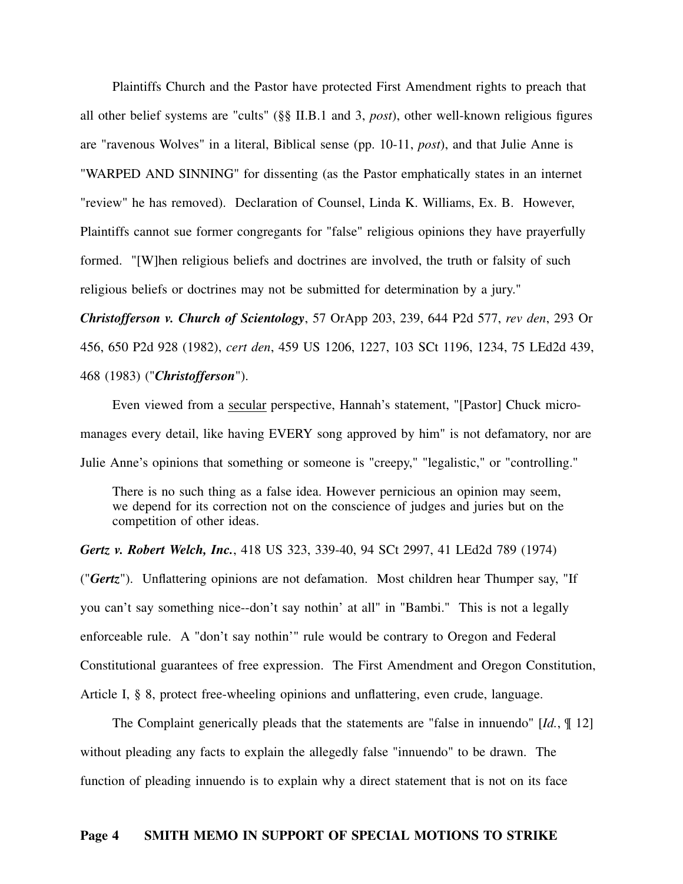Plaintiffs Church and the Pastor have protected First Amendment rights to preach that all other belief systems are "cults" (§§ II.B.1 and 3, *post*), other well-known religious figures are "ravenous Wolves" in a literal, Biblical sense (pp. 10-11, *post*), and that Julie Anne is "WARPED AND SINNING" for dissenting (as the Pastor emphatically states in an internet "review" he has removed). Declaration of Counsel, Linda K. Williams, Ex. B. However, Plaintiffs cannot sue former congregants for "false" religious opinions they have prayerfully formed. "[W]hen religious beliefs and doctrines are involved, the truth or falsity of such religious beliefs or doctrines may not be submitted for determination by a jury."

*Christofferson v. Church of Scientology*, 57 OrApp 203, 239, 644 P2d 577, *rev den*, 293 Or 456, 650 P2d 928 (1982), *cert den*, 459 US 1206, 1227, 103 SCt 1196, 1234, 75 LEd2d 439, 468 (1983) ("*Christofferson*").

Even viewed from a secular perspective, Hannah's statement, "[Pastor] Chuck micromanages every detail, like having EVERY song approved by him" is not defamatory, nor are Julie Anne's opinions that something or someone is "creepy," "legalistic," or "controlling."

There is no such thing as a false idea. However pernicious an opinion may seem, we depend for its correction not on the conscience of judges and juries but on the competition of other ideas.

*Gertz v. Robert Welch, Inc.*, 418 US 323, 339-40, 94 SCt 2997, 41 LEd2d 789 (1974) ("*Gertz*"). Unflattering opinions are not defamation. Most children hear Thumper say, "If you can't say something nice--don't say nothin' at all" in "Bambi." This is not a legally enforceable rule. A "don't say nothin'" rule would be contrary to Oregon and Federal Constitutional guarantees of free expression. The First Amendment and Oregon Constitution, Article I, § 8, protect free-wheeling opinions and unflattering, even crude, language.

The Complaint generically pleads that the statements are "false in innuendo" [*Id.*, ¶ 12] without pleading any facts to explain the allegedly false "innuendo" to be drawn. The function of pleading innuendo is to explain why a direct statement that is not on its face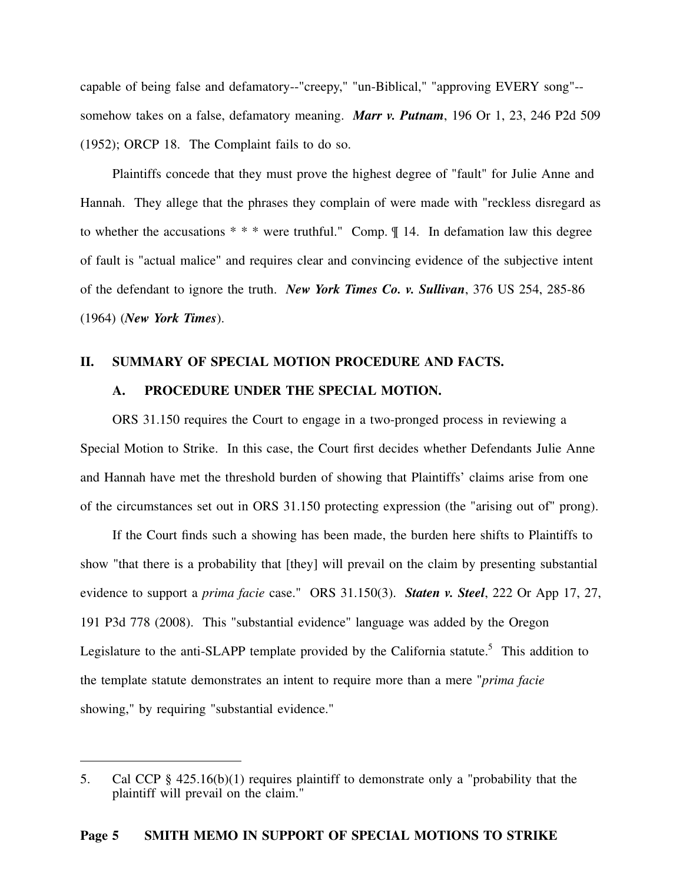capable of being false and defamatory--"creepy," "un-Biblical," "approving EVERY song"- somehow takes on a false, defamatory meaning. *Marr v. Putnam*, 196 Or 1, 23, 246 P2d 509 (1952); ORCP 18. The Complaint fails to do so.

Plaintiffs concede that they must prove the highest degree of "fault" for Julie Anne and Hannah. They allege that the phrases they complain of were made with "reckless disregard as to whether the accusations  $**$  were truthful." Comp.  $\llbracket$  14. In defamation law this degree of fault is "actual malice" and requires clear and convincing evidence of the subjective intent of the defendant to ignore the truth. *New York Times Co. v. Sullivan*, 376 US 254, 285-86 (1964) (*New York Times*).

#### **II. SUMMARY OF SPECIAL MOTION PROCEDURE AND FACTS.**

#### **A. PROCEDURE UNDER THE SPECIAL MOTION.**

ORS 31.150 requires the Court to engage in a two-pronged process in reviewing a Special Motion to Strike. In this case, the Court first decides whether Defendants Julie Anne and Hannah have met the threshold burden of showing that Plaintiffs' claims arise from one of the circumstances set out in ORS 31.150 protecting expression (the "arising out of" prong).

If the Court finds such a showing has been made, the burden here shifts to Plaintiffs to show "that there is a probability that [they] will prevail on the claim by presenting substantial evidence to support a *prima facie* case." ORS 31.150(3). *Staten v. Steel*, 222 Or App 17, 27, 191 P3d 778 (2008). This "substantial evidence" language was added by the Oregon Legislature to the anti-SLAPP template provided by the California statute.<sup>5</sup> This addition to the template statute demonstrates an intent to require more than a mere "*prima facie* showing," by requiring "substantial evidence."

<sup>5.</sup> Cal CCP § 425.16(b)(1) requires plaintiff to demonstrate only a "probability that the plaintiff will prevail on the claim."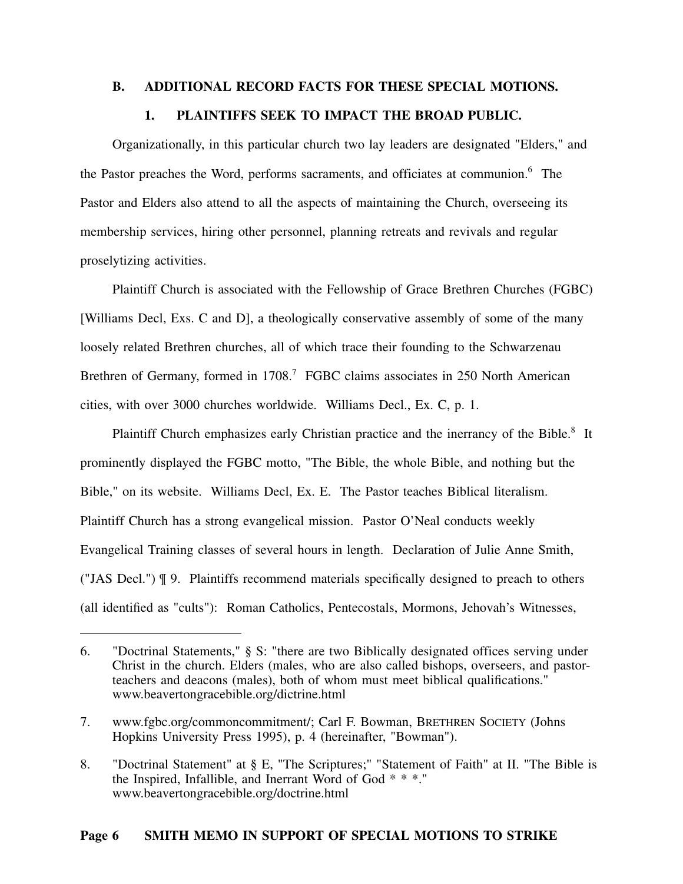#### **B. ADDITIONAL RECORD FACTS FOR THESE SPECIAL MOTIONS.**

## **1. PLAINTIFFS SEEK TO IMPACT THE BROAD PUBLIC.**

Organizationally, in this particular church two lay leaders are designated "Elders," and the Pastor preaches the Word, performs sacraments, and officiates at communion.<sup>6</sup> The Pastor and Elders also attend to all the aspects of maintaining the Church, overseeing its membership services, hiring other personnel, planning retreats and revivals and regular proselytizing activities.

Plaintiff Church is associated with the Fellowship of Grace Brethren Churches (FGBC) [Williams Decl, Exs. C and D], a theologically conservative assembly of some of the many loosely related Brethren churches, all of which trace their founding to the Schwarzenau Brethren of Germany, formed in 1708.<sup>7</sup> FGBC claims associates in 250 North American cities, with over 3000 churches worldwide. Williams Decl., Ex. C, p. 1.

Plaintiff Church emphasizes early Christian practice and the inerrancy of the Bible.<sup>8</sup> It prominently displayed the FGBC motto, "The Bible, the whole Bible, and nothing but the Bible," on its website. Williams Decl, Ex. E. The Pastor teaches Biblical literalism. Plaintiff Church has a strong evangelical mission. Pastor O'Neal conducts weekly Evangelical Training classes of several hours in length. Declaration of Julie Anne Smith, ("JAS Decl.") ¶ 9. Plaintiffs recommend materials specifically designed to preach to others (all identified as "cults"): Roman Catholics, Pentecostals, Mormons, Jehovah's Witnesses,

<sup>6. &</sup>quot;Doctrinal Statements," § S: "there are two Biblically designated offices serving under Christ in the church. Elders (males, who are also called bishops, overseers, and pastorteachers and deacons (males), both of whom must meet biblical qualifications." www.beavertongracebible.org/dictrine.html

<sup>7.</sup> www.fgbc.org/commoncommitment/; Carl F. Bowman, BRETHREN SOCIETY (Johns Hopkins University Press 1995), p. 4 (hereinafter, "Bowman").

<sup>8. &</sup>quot;Doctrinal Statement" at § E, "The Scriptures;" "Statement of Faith" at II. "The Bible is the Inspired, Infallible, and Inerrant Word of God \* \* \*." www.beavertongracebible.org/doctrine.html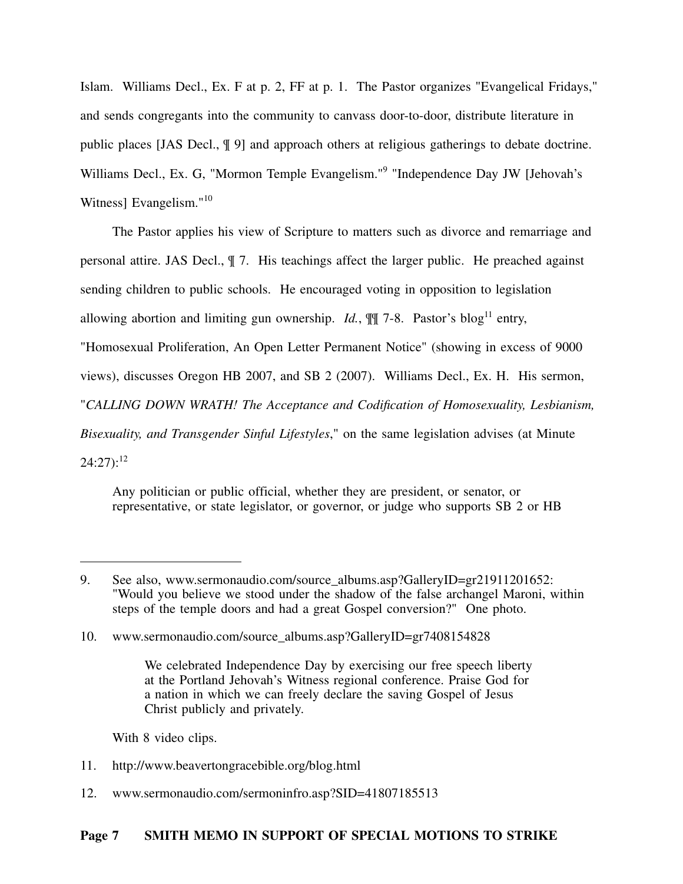Islam. Williams Decl., Ex. F at p. 2, FF at p. 1. The Pastor organizes "Evangelical Fridays," and sends congregants into the community to canvass door-to-door, distribute literature in public places [JAS Decl., ¶ 9] and approach others at religious gatherings to debate doctrine. Williams Decl., Ex. G, "Mormon Temple Evangelism."<sup>9</sup> "Independence Day JW [Jehovah's Witness] Evangelism."<sup>10</sup>

The Pastor applies his view of Scripture to matters such as divorce and remarriage and personal attire. JAS Decl., ¶ 7. His teachings affect the larger public. He preached against sending children to public schools. He encouraged voting in opposition to legislation allowing abortion and limiting gun ownership. *Id.*,  $\mathbb{I}$   $\mathbb{I}$  7-8. Pastor's blog<sup>11</sup> entry, "Homosexual Proliferation, An Open Letter Permanent Notice" (showing in excess of 9000 views), discusses Oregon HB 2007, and SB 2 (2007). Williams Decl., Ex. H. His sermon, "*CALLING DOWN WRATH! The Acceptance and Codification of Homosexuality, Lesbianism, Bisexuality, and Transgender Sinful Lifestyles*," on the same legislation advises (at Minute  $24:27$ :<sup>12</sup>

Any politician or public official, whether they are president, or senator, or representative, or state legislator, or governor, or judge who supports SB 2 or HB

With 8 video clips.

- 11. http://www.beavertongracebible.org/blog.html
- 12. www.sermonaudio.com/sermoninfro.asp?SID=41807185513

<sup>9.</sup> See also, www.sermonaudio.com/source\_albums.asp?GalleryID=gr21911201652: "Would you believe we stood under the shadow of the false archangel Maroni, within steps of the temple doors and had a great Gospel conversion?" One photo.

<sup>10.</sup> www.sermonaudio.com/source\_albums.asp?GalleryID=gr7408154828

We celebrated Independence Day by exercising our free speech liberty at the Portland Jehovah's Witness regional conference. Praise God for a nation in which we can freely declare the saving Gospel of Jesus Christ publicly and privately.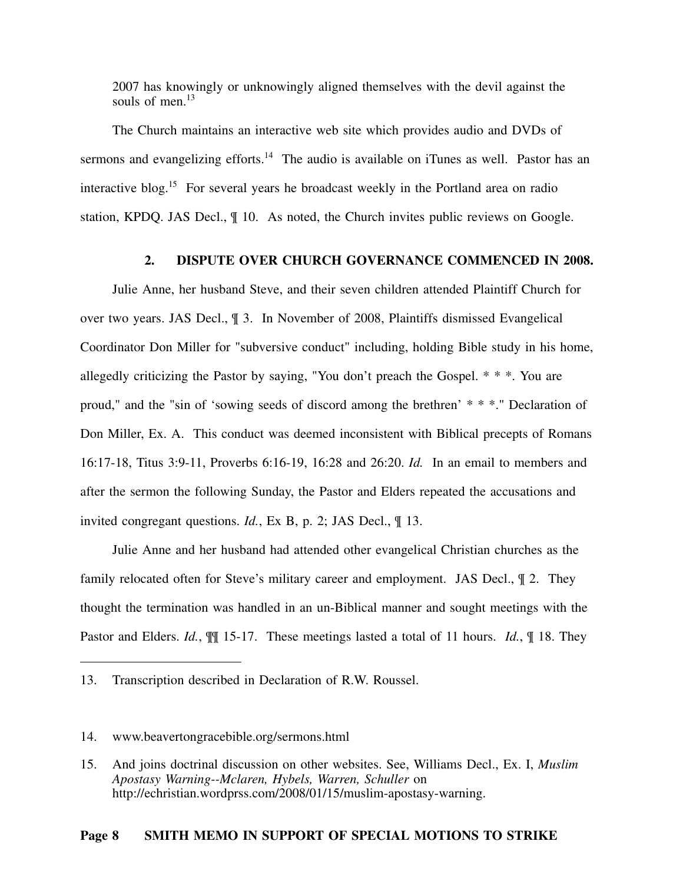2007 has knowingly or unknowingly aligned themselves with the devil against the souls of men $13$ 

The Church maintains an interactive web site which provides audio and DVDs of sermons and evangelizing efforts.<sup>14</sup> The audio is available on iTunes as well. Pastor has an interactive blog.<sup>15</sup> For several years he broadcast weekly in the Portland area on radio station, KPDQ. JAS Decl., ¶ 10. As noted, the Church invites public reviews on Google.

## **2. DISPUTE OVER CHURCH GOVERNANCE COMMENCED IN 2008.**

Julie Anne, her husband Steve, and their seven children attended Plaintiff Church for over two years. JAS Decl., ¶ 3. In November of 2008, Plaintiffs dismissed Evangelical Coordinator Don Miller for "subversive conduct" including, holding Bible study in his home, allegedly criticizing the Pastor by saying, "You don't preach the Gospel. \* \* \*. You are proud," and the "sin of 'sowing seeds of discord among the brethren' \* \* \*." Declaration of Don Miller, Ex. A. This conduct was deemed inconsistent with Biblical precepts of Romans 16:17-18, Titus 3:9-11, Proverbs 6:16-19, 16:28 and 26:20. *Id.* In an email to members and after the sermon the following Sunday, the Pastor and Elders repeated the accusations and invited congregant questions. *Id.*, Ex B, p. 2; JAS Decl., ¶ 13.

Julie Anne and her husband had attended other evangelical Christian churches as the family relocated often for Steve's military career and employment. JAS Decl., ¶ 2. They thought the termination was handled in an un-Biblical manner and sought meetings with the Pastor and Elders. *Id.*, ¶¶ 15-17. These meetings lasted a total of 11 hours. *Id.*, ¶ 18. They

### **Page 8 SMITH MEMO IN SUPPORT OF SPECIAL MOTIONS TO STRIKE**

<sup>13.</sup> Transcription described in Declaration of R.W. Roussel.

<sup>14.</sup> www.beavertongracebible.org/sermons.html

<sup>15.</sup> And joins doctrinal discussion on other websites. See, Williams Decl., Ex. I, *Muslim Apostasy Warning--Mclaren, Hybels, Warren, Schuller* on http://echristian.wordprss.com/2008/01/15/muslim-apostasy-warning.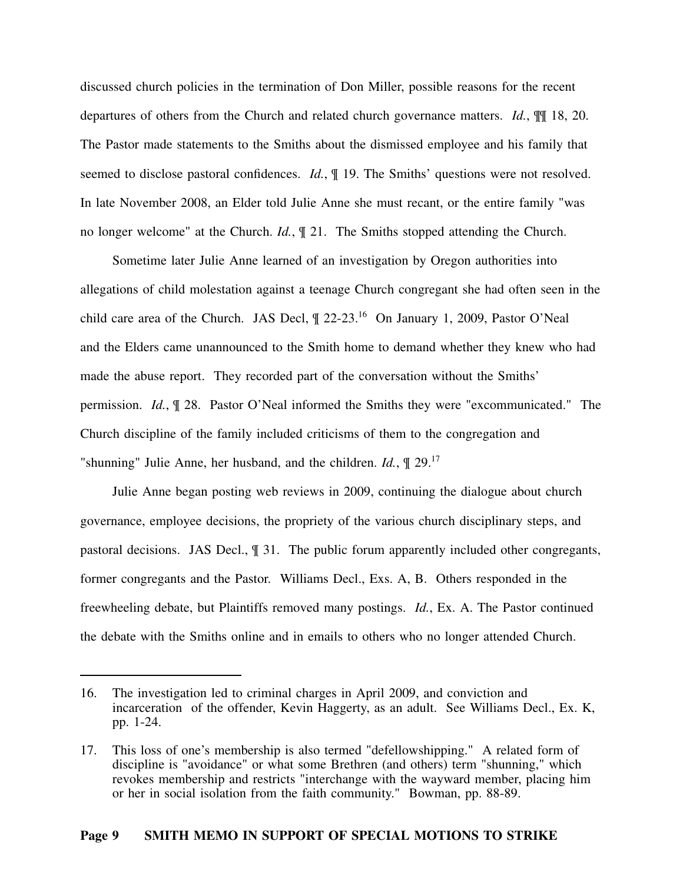discussed church policies in the termination of Don Miller, possible reasons for the recent departures of others from the Church and related church governance matters. *Id.*, ¶¶ 18, 20. The Pastor made statements to the Smiths about the dismissed employee and his family that seemed to disclose pastoral confidences. *Id.*, ¶ 19. The Smiths' questions were not resolved. In late November 2008, an Elder told Julie Anne she must recant, or the entire family "was no longer welcome" at the Church. *Id.*, ¶ 21. The Smiths stopped attending the Church.

Sometime later Julie Anne learned of an investigation by Oregon authorities into allegations of child molestation against a teenage Church congregant she had often seen in the child care area of the Church. JAS Decl,  $\P$  22-23.<sup>16</sup> On January 1, 2009, Pastor O'Neal and the Elders came unannounced to the Smith home to demand whether they knew who had made the abuse report. They recorded part of the conversation without the Smiths' permission. *Id.*, ¶ 28. Pastor O'Neal informed the Smiths they were "excommunicated." The Church discipline of the family included criticisms of them to the congregation and "shunning" Julie Anne, her husband, and the children. *Id.*, ¶ 29.<sup>17</sup>

Julie Anne began posting web reviews in 2009, continuing the dialogue about church governance, employee decisions, the propriety of the various church disciplinary steps, and pastoral decisions. JAS Decl., ¶ 31. The public forum apparently included other congregants, former congregants and the Pastor. Williams Decl., Exs. A, B. Others responded in the freewheeling debate, but Plaintiffs removed many postings. *Id.*, Ex. A. The Pastor continued the debate with the Smiths online and in emails to others who no longer attended Church.

<sup>16.</sup> The investigation led to criminal charges in April 2009, and conviction and incarceration of the offender, Kevin Haggerty, as an adult. See Williams Decl., Ex. K, pp. 1-24.

<sup>17.</sup> This loss of one's membership is also termed "defellowshipping." A related form of discipline is "avoidance" or what some Brethren (and others) term "shunning," which revokes membership and restricts "interchange with the wayward member, placing him or her in social isolation from the faith community." Bowman, pp. 88-89.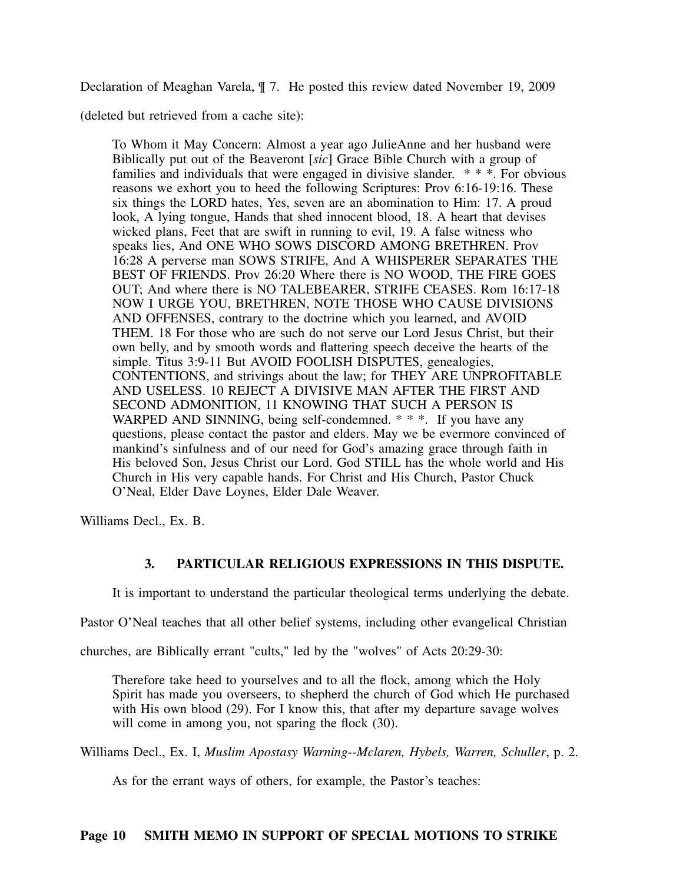Declaration of Meaghan Varela, ¶ 7. He posted this review dated November 19, 2009

(deleted but retrieved from a cache site):

To Whom it May Concern: Almost a year ago JulieAnne and her husband were Biblically put out of the Beaveront [*sic*] Grace Bible Church with a group of families and individuals that were engaged in divisive slander. \* \* \*. For obvious reasons we exhort you to heed the following Scriptures: Prov 6:16-19:16. These six things the LORD hates, Yes, seven are an abomination to Him: 17. A proud look, A lying tongue, Hands that shed innocent blood, 18. A heart that devises wicked plans, Feet that are swift in running to evil, 19. A false witness who speaks lies, And ONE WHO SOWS DISCORD AMONG BRETHREN. Prov 16:28 A perverse man SOWS STRIFE, And A WHISPERER SEPARATES THE BEST OF FRIENDS. Prov 26:20 Where there is NO WOOD, THE FIRE GOES OUT; And where there is NO TALEBEARER, STRIFE CEASES. Rom 16:17-18 NOW I URGE YOU, BRETHREN, NOTE THOSE WHO CAUSE DIVISIONS AND OFFENSES, contrary to the doctrine which you learned, and AVOID THEM. 18 For those who are such do not serve our Lord Jesus Christ, but their own belly, and by smooth words and flattering speech deceive the hearts of the simple. Titus 3:9-11 But AVOID FOOLISH DISPUTES, genealogies, CONTENTIONS, and strivings about the law; for THEY ARE UNPROFITABLE AND USELESS. 10 REJECT A DIVISIVE MAN AFTER THE FIRST AND SECOND ADMONITION, 11 KNOWING THAT SUCH A PERSON IS WARPED AND SINNING, being self-condemned. \* \* \*. If you have any questions, please contact the pastor and elders. May we be evermore convinced of mankind's sinfulness and of our need for God's amazing grace through faith in His beloved Son, Jesus Christ our Lord. God STILL has the whole world and His Church in His very capable hands. For Christ and His Church, Pastor Chuck O'Neal, Elder Dave Loynes, Elder Dale Weaver.

Williams Decl., Ex. B.

## **3. PARTICULAR RELIGIOUS EXPRESSIONS IN THIS DISPUTE.**

It is important to understand the particular theological terms underlying the debate.

Pastor O'Neal teaches that all other belief systems, including other evangelical Christian

churches, are Biblically errant "cults," led by the "wolves" of Acts 20:29-30:

Therefore take heed to yourselves and to all the flock, among which the Holy Spirit has made you overseers, to shepherd the church of God which He purchased with His own blood (29). For I know this, that after my departure savage wolves will come in among you, not sparing the flock (30).

Williams Decl., Ex. I, *Muslim Apostasy Warning--Mclaren, Hybels, Warren, Schuller*, p. 2.

As for the errant ways of others, for example, the Pastor's teaches: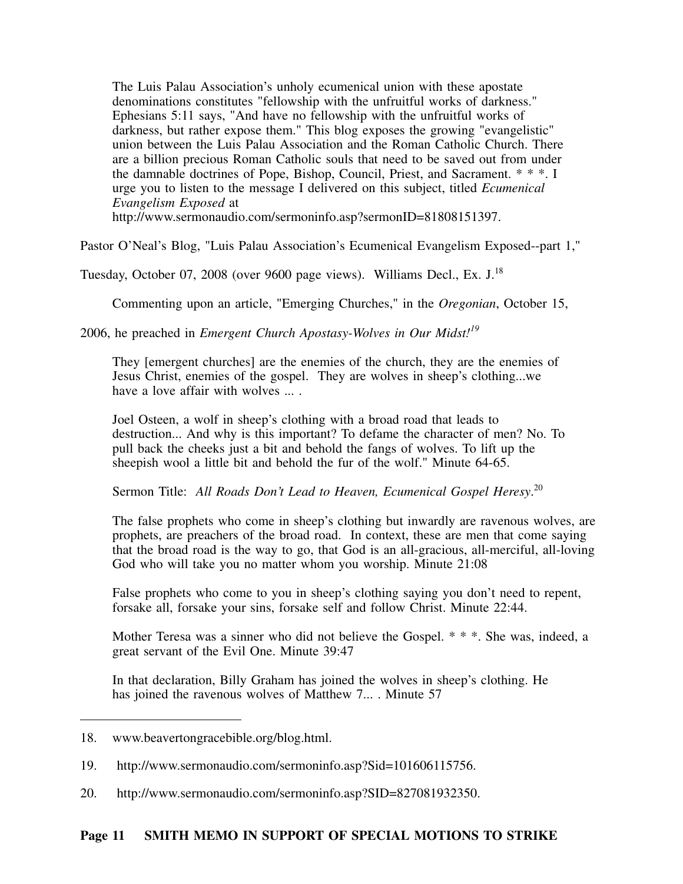The Luis Palau Association's unholy ecumenical union with these apostate denominations constitutes "fellowship with the unfruitful works of darkness." Ephesians 5:11 says, "And have no fellowship with the unfruitful works of darkness, but rather expose them." This blog exposes the growing "evangelistic" union between the Luis Palau Association and the Roman Catholic Church. There are a billion precious Roman Catholic souls that need to be saved out from under the damnable doctrines of Pope, Bishop, Council, Priest, and Sacrament. \* \* \*. I urge you to listen to the message I delivered on this subject, titled *Ecumenical Evangelism Exposed* at

http://www.sermonaudio.com/sermoninfo.asp?sermonID=81808151397.

Pastor O'Neal's Blog, "Luis Palau Association's Ecumenical Evangelism Exposed--part 1,"

Tuesday, October 07, 2008 (over 9600 page views). Williams Decl., Ex. J.<sup>18</sup>

Commenting upon an article, "Emerging Churches," in the *Oregonian*, October 15,

2006, he preached in *Emergent Church Apostasy-Wolves in Our Midst!<sup>19</sup>*

They [emergent churches] are the enemies of the church, they are the enemies of Jesus Christ, enemies of the gospel. They are wolves in sheep's clothing...we have a love affair with wolves ... .

Joel Osteen, a wolf in sheep's clothing with a broad road that leads to destruction... And why is this important? To defame the character of men? No. To pull back the cheeks just a bit and behold the fangs of wolves. To lift up the sheepish wool a little bit and behold the fur of the wolf." Minute 64-65.

Sermon Title: All Roads Don't Lead to Heaven, Ecumenical Gospel Heresy.<sup>20</sup>

The false prophets who come in sheep's clothing but inwardly are ravenous wolves, are prophets, are preachers of the broad road. In context, these are men that come saying that the broad road is the way to go, that God is an all-gracious, all-merciful, all-loving God who will take you no matter whom you worship. Minute 21:08

False prophets who come to you in sheep's clothing saying you don't need to repent, forsake all, forsake your sins, forsake self and follow Christ. Minute 22:44.

Mother Teresa was a sinner who did not believe the Gospel. \* \* \*. She was, indeed, a great servant of the Evil One. Minute 39:47

In that declaration, Billy Graham has joined the wolves in sheep's clothing. He has joined the ravenous wolves of Matthew 7... . Minute 57

20. http://www.sermonaudio.com/sermoninfo.asp?SID=827081932350.

<sup>18.</sup> www.beavertongracebible.org/blog.html.

<sup>19.</sup> http://www.sermonaudio.com/sermoninfo.asp?Sid=101606115756.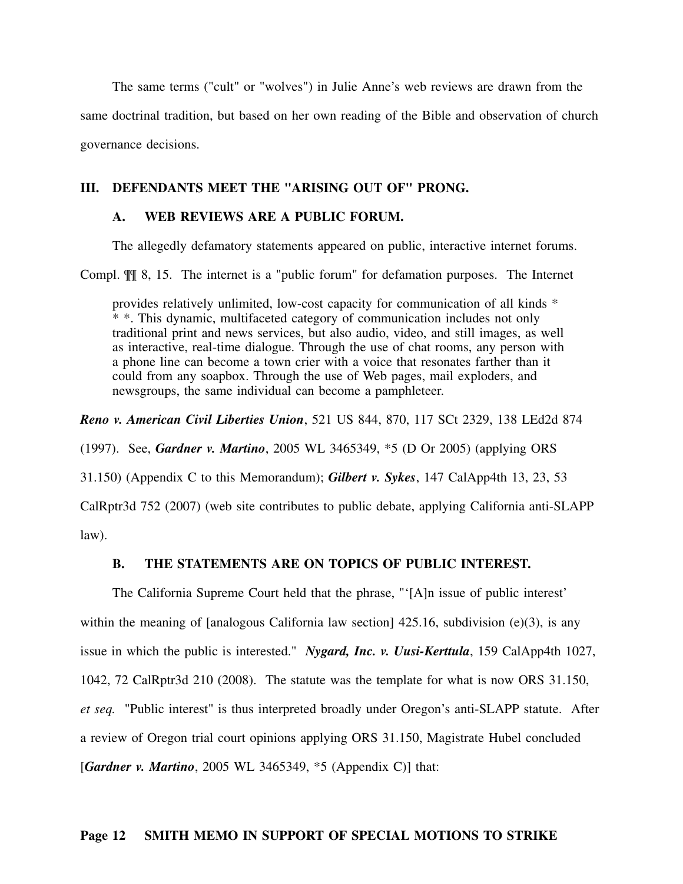The same terms ("cult" or "wolves") in Julie Anne's web reviews are drawn from the same doctrinal tradition, but based on her own reading of the Bible and observation of church governance decisions.

### **III. DEFENDANTS MEET THE "ARISING OUT OF" PRONG.**

## **A. WEB REVIEWS ARE A PUBLIC FORUM.**

The allegedly defamatory statements appeared on public, interactive internet forums.

Compl. ¶¶ 8, 15. The internet is a "public forum" for defamation purposes. The Internet

provides relatively unlimited, low-cost capacity for communication of all kinds \* \* \*. This dynamic, multifaceted category of communication includes not only traditional print and news services, but also audio, video, and still images, as well as interactive, real-time dialogue. Through the use of chat rooms, any person with a phone line can become a town crier with a voice that resonates farther than it could from any soapbox. Through the use of Web pages, mail exploders, and newsgroups, the same individual can become a pamphleteer.

*Reno v. American Civil Liberties Union*, 521 US 844, 870, 117 SCt 2329, 138 LEd2d 874

(1997). See, *Gardner v. Martino*, 2005 WL 3465349, \*5 (D Or 2005) (applying ORS

31.150) (Appendix C to this Memorandum); *Gilbert v. Sykes*, 147 CalApp4th 13, 23, 53

CalRptr3d 752 (2007) (web site contributes to public debate, applying California anti-SLAPP law).

#### **B. THE STATEMENTS ARE ON TOPICS OF PUBLIC INTEREST.**

The California Supreme Court held that the phrase, "'[A]n issue of public interest' within the meaning of [analogous California law section]  $425.16$ , subdivision (e)(3), is any issue in which the public is interested." *Nygard, Inc. v. Uusi-Kerttula*, 159 CalApp4th 1027, 1042, 72 CalRptr3d 210 (2008). The statute was the template for what is now ORS 31.150, *et seq.* "Public interest" is thus interpreted broadly under Oregon's anti-SLAPP statute. After a review of Oregon trial court opinions applying ORS 31.150, Magistrate Hubel concluded [*Gardner v. Martino*, 2005 WL 3465349, \*5 (Appendix C)] that: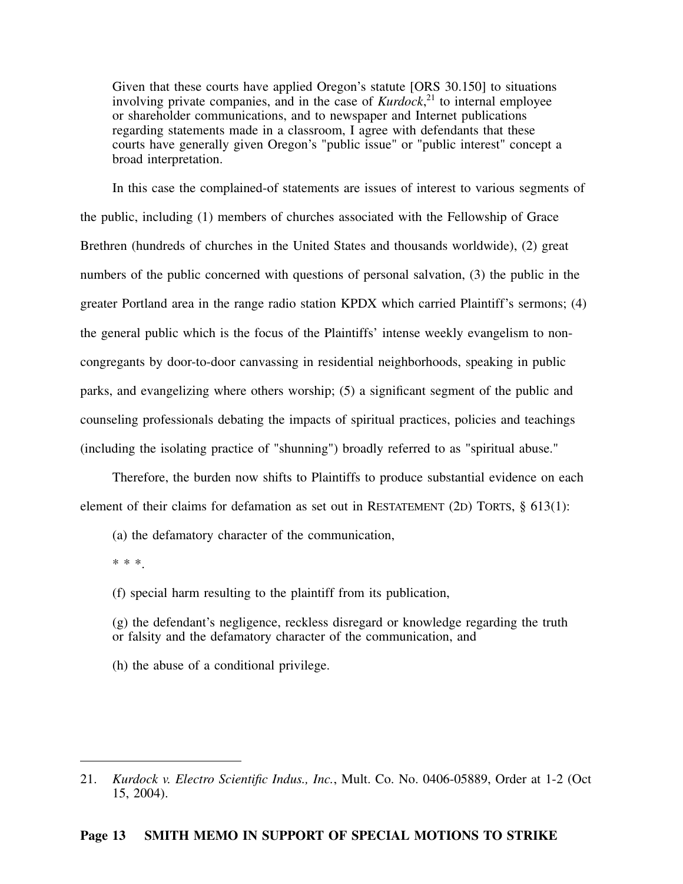Given that these courts have applied Oregon's statute [ORS 30.150] to situations involving private companies, and in the case of *Kurdock*, <sup>21</sup> to internal employee or shareholder communications, and to newspaper and Internet publications regarding statements made in a classroom, I agree with defendants that these courts have generally given Oregon's "public issue" or "public interest" concept a broad interpretation.

In this case the complained-of statements are issues of interest to various segments of the public, including (1) members of churches associated with the Fellowship of Grace Brethren (hundreds of churches in the United States and thousands worldwide), (2) great numbers of the public concerned with questions of personal salvation, (3) the public in the greater Portland area in the range radio station KPDX which carried Plaintiff's sermons; (4) the general public which is the focus of the Plaintiffs' intense weekly evangelism to noncongregants by door-to-door canvassing in residential neighborhoods, speaking in public parks, and evangelizing where others worship; (5) a significant segment of the public and counseling professionals debating the impacts of spiritual practices, policies and teachings (including the isolating practice of "shunning") broadly referred to as "spiritual abuse."

Therefore, the burden now shifts to Plaintiffs to produce substantial evidence on each element of their claims for defamation as set out in RESTATEMENT (2D) TORTS, § 613(1):

(a) the defamatory character of the communication,

\* \* \*.

(f) special harm resulting to the plaintiff from its publication,

(g) the defendant's negligence, reckless disregard or knowledge regarding the truth or falsity and the defamatory character of the communication, and

(h) the abuse of a conditional privilege.

<sup>21.</sup> *Kurdock v. Electro Scientific Indus., Inc.*, Mult. Co. No. 0406-05889, Order at 1-2 (Oct 15, 2004).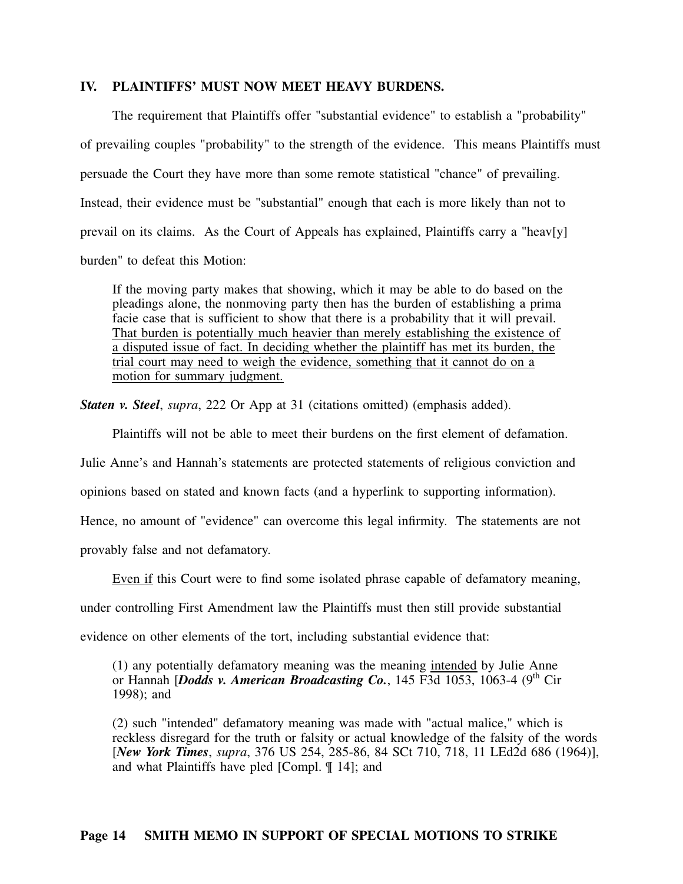#### **IV. PLAINTIFFS' MUST NOW MEET HEAVY BURDENS.**

The requirement that Plaintiffs offer "substantial evidence" to establish a "probability" of prevailing couples "probability" to the strength of the evidence. This means Plaintiffs must persuade the Court they have more than some remote statistical "chance" of prevailing. Instead, their evidence must be "substantial" enough that each is more likely than not to prevail on its claims. As the Court of Appeals has explained, Plaintiffs carry a "heav[y] burden" to defeat this Motion:

If the moving party makes that showing, which it may be able to do based on the pleadings alone, the nonmoving party then has the burden of establishing a prima facie case that is sufficient to show that there is a probability that it will prevail. That burden is potentially much heavier than merely establishing the existence of a disputed issue of fact. In deciding whether the plaintiff has met its burden, the trial court may need to weigh the evidence, something that it cannot do on a motion for summary judgment.

*Staten v. Steel*, *supra*, 222 Or App at 31 (citations omitted) (emphasis added).

Plaintiffs will not be able to meet their burdens on the first element of defamation.

Julie Anne's and Hannah's statements are protected statements of religious conviction and

opinions based on stated and known facts (and a hyperlink to supporting information).

Hence, no amount of "evidence" can overcome this legal infirmity. The statements are not

provably false and not defamatory.

Even if this Court were to find some isolated phrase capable of defamatory meaning,

under controlling First Amendment law the Plaintiffs must then still provide substantial

evidence on other elements of the tort, including substantial evidence that:

(1) any potentially defamatory meaning was the meaning intended by Julie Anne or Hannah [*Dodds v. American Broadcasting Co.*, 145 F3d 1053, 1063-4 (9<sup>th</sup> Cir) 1998); and

(2) such "intended" defamatory meaning was made with "actual malice," which is reckless disregard for the truth or falsity or actual knowledge of the falsity of the words [*New York Times*, *supra*, 376 US 254, 285-86, 84 SCt 710, 718, 11 LEd2d 686 (1964)], and what Plaintiffs have pled [Compl. ¶ 14]; and

### **Page 14 SMITH MEMO IN SUPPORT OF SPECIAL MOTIONS TO STRIKE**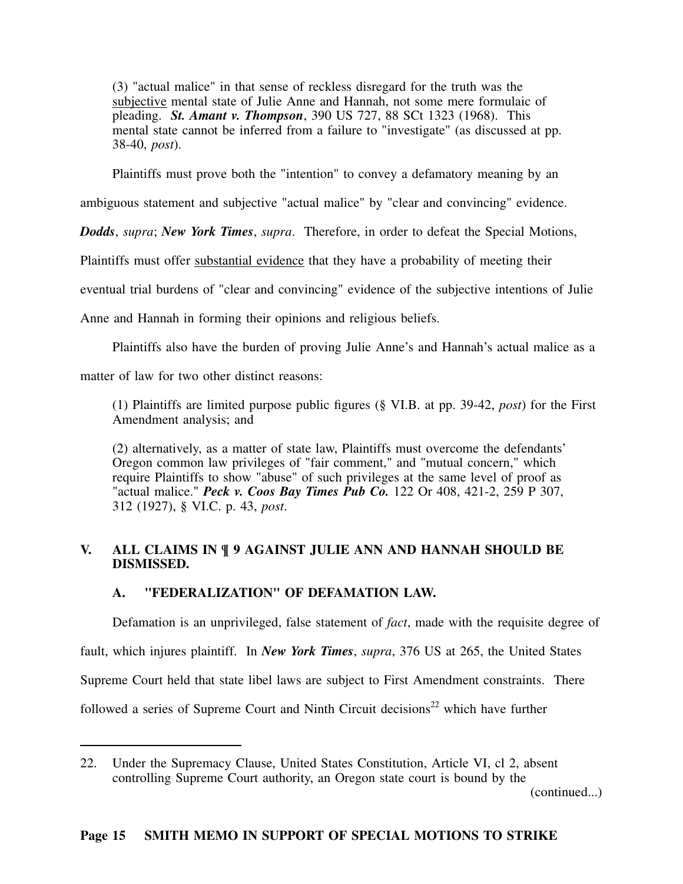(3) "actual malice" in that sense of reckless disregard for the truth was the subjective mental state of Julie Anne and Hannah, not some mere formulaic of pleading. *St. Amant v. Thompson*, 390 US 727, 88 SCt 1323 (1968). This mental state cannot be inferred from a failure to "investigate" (as discussed at pp. 38-40, *post*).

Plaintiffs must prove both the "intention" to convey a defamatory meaning by an

ambiguous statement and subjective "actual malice" by "clear and convincing" evidence.

*Dodds*, *supra*; *New York Times*, *supra*. Therefore, in order to defeat the Special Motions,

Plaintiffs must offer substantial evidence that they have a probability of meeting their

eventual trial burdens of "clear and convincing" evidence of the subjective intentions of Julie

Anne and Hannah in forming their opinions and religious beliefs.

Plaintiffs also have the burden of proving Julie Anne's and Hannah's actual malice as a

matter of law for two other distinct reasons:

(1) Plaintiffs are limited purpose public figures (§ VI.B. at pp. 39-42, *post*) for the First Amendment analysis; and

(2) alternatively, as a matter of state law, Plaintiffs must overcome the defendants' Oregon common law privileges of "fair comment," and "mutual concern," which require Plaintiffs to show "abuse" of such privileges at the same level of proof as "actual malice." *Peck v. Coos Bay Times Pub Co.* 122 Or 408, 421-2, 259 P 307, 312 (1927), § VI.C. p. 43, *post*.

## **V. ALL CLAIMS IN ¶ 9 AGAINST JULIE ANN AND HANNAH SHOULD BE DISMISSED.**

## **A. "FEDERALIZATION" OF DEFAMATION LAW.**

Defamation is an unprivileged, false statement of *fact*, made with the requisite degree of fault, which injures plaintiff. In *New York Times*, *supra*, 376 US at 265, the United States Supreme Court held that state libel laws are subject to First Amendment constraints. There followed a series of Supreme Court and Ninth Circuit decisions<sup>22</sup> which have further

(continued...)

<sup>22.</sup> Under the Supremacy Clause, United States Constitution, Article VI, cl 2, absent controlling Supreme Court authority, an Oregon state court is bound by the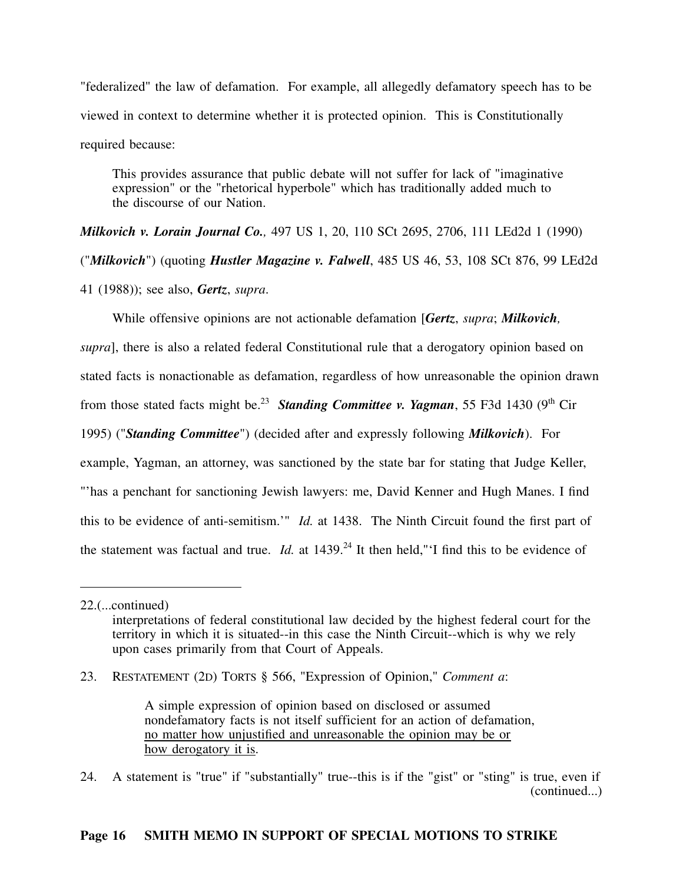"federalized" the law of defamation. For example, all allegedly defamatory speech has to be viewed in context to determine whether it is protected opinion. This is Constitutionally required because:

This provides assurance that public debate will not suffer for lack of "imaginative expression" or the "rhetorical hyperbole" which has traditionally added much to the discourse of our Nation.

*Milkovich v. Lorain Journal Co.,* 497 US 1, 20, 110 SCt 2695, 2706, 111 LEd2d 1 (1990) ("*Milkovich*") (quoting *Hustler Magazine v. Falwell*, 485 US 46, 53, 108 SCt 876, 99 LEd2d 41 (1988)); see also, *Gertz*, *supra*.

While offensive opinions are not actionable defamation [*Gertz*, *supra*; *Milkovich,*

*supra*], there is also a related federal Constitutional rule that a derogatory opinion based on stated facts is nonactionable as defamation, regardless of how unreasonable the opinion drawn from those stated facts might be.<sup>23</sup> *Standing Committee v. Yagman*, 55 F3d 1430 (9<sup>th</sup> Cir 1995) ("*Standing Committee*") (decided after and expressly following *Milkovich*). For example, Yagman, an attorney, was sanctioned by the state bar for stating that Judge Keller, "'has a penchant for sanctioning Jewish lawyers: me, David Kenner and Hugh Manes. I find this to be evidence of anti-semitism.'" *Id.* at 1438. The Ninth Circuit found the first part of the statement was factual and true. *Id.* at  $1439<sup>24</sup>$  It then held," I find this to be evidence of

<sup>22.(...</sup>continued)

interpretations of federal constitutional law decided by the highest federal court for the territory in which it is situated--in this case the Ninth Circuit--which is why we rely upon cases primarily from that Court of Appeals.

<sup>23.</sup> RESTATEMENT (2D) TORTS § 566, "Expression of Opinion," *Comment a*:

A simple expression of opinion based on disclosed or assumed nondefamatory facts is not itself sufficient for an action of defamation, no matter how unjustified and unreasonable the opinion may be or how derogatory it is.

<sup>24.</sup> A statement is "true" if "substantially" true--this is if the "gist" or "sting" is true, even if (continued...)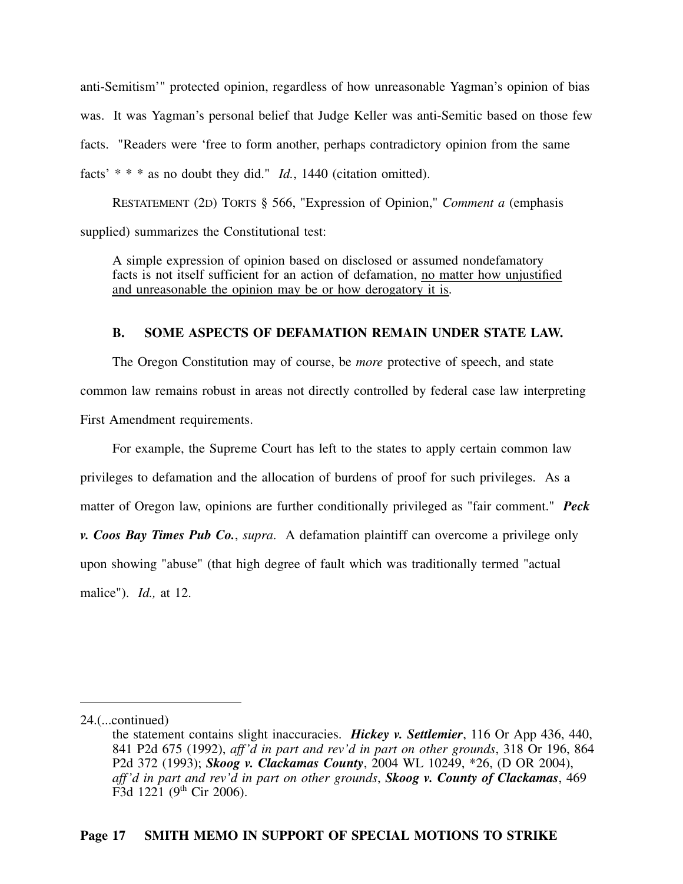anti-Semitism'" protected opinion, regardless of how unreasonable Yagman's opinion of bias was. It was Yagman's personal belief that Judge Keller was anti-Semitic based on those few facts. "Readers were 'free to form another, perhaps contradictory opinion from the same facts' \* \* \* as no doubt they did." *Id.*, 1440 (citation omitted).

RESTATEMENT (2D) TORTS § 566, "Expression of Opinion," *Comment a* (emphasis supplied) summarizes the Constitutional test:

A simple expression of opinion based on disclosed or assumed nondefamatory facts is not itself sufficient for an action of defamation, no matter how unjustified and unreasonable the opinion may be or how derogatory it is.

### **B. SOME ASPECTS OF DEFAMATION REMAIN UNDER STATE LAW.**

The Oregon Constitution may of course, be *more* protective of speech, and state common law remains robust in areas not directly controlled by federal case law interpreting First Amendment requirements.

For example, the Supreme Court has left to the states to apply certain common law privileges to defamation and the allocation of burdens of proof for such privileges. As a matter of Oregon law, opinions are further conditionally privileged as "fair comment." *Peck v. Coos Bay Times Pub Co.*, *supra*. A defamation plaintiff can overcome a privilege only upon showing "abuse" (that high degree of fault which was traditionally termed "actual malice"). *Id.,* at 12.

<sup>24.(...</sup>continued)

the statement contains slight inaccuracies. *Hickey v. Settlemier*, 116 Or App 436, 440, 841 P2d 675 (1992), *aff'd in part and rev'd in part on other grounds*, 318 Or 196, 864 P2d 372 (1993); *Skoog v. Clackamas County*, 2004 WL 10249, \*26, (D OR 2004), *aff'd in part and rev'd in part on other grounds*, *Skoog v. County of Clackamas*, 469  $F3d 1221 (9<sup>th</sup> Cir 2006).$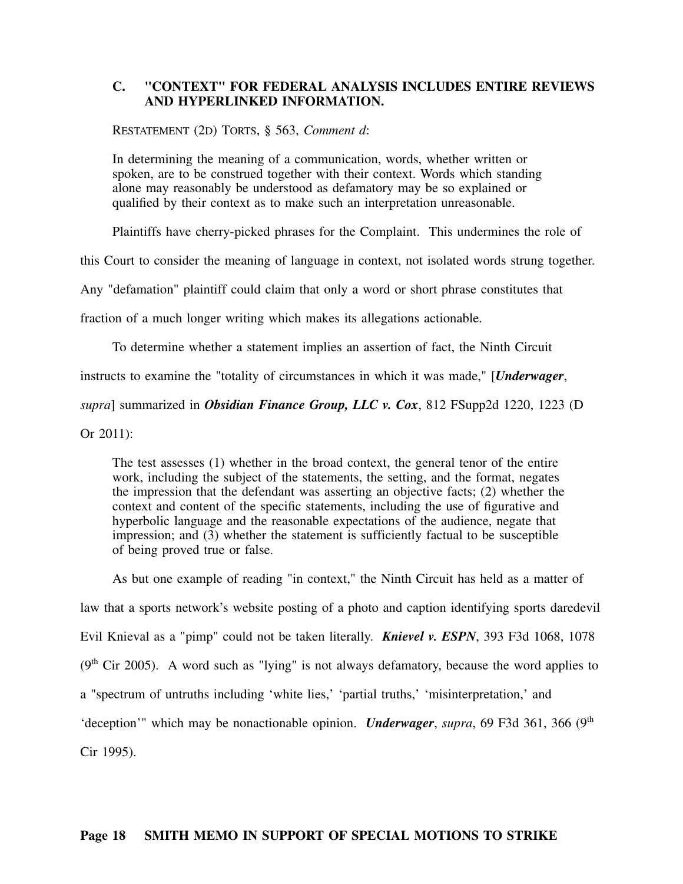### **C. "CONTEXT" FOR FEDERAL ANALYSIS INCLUDES ENTIRE REVIEWS AND HYPERLINKED INFORMATION.**

RESTATEMENT (2D) TORTS, § 563, *Comment d*:

In determining the meaning of a communication, words, whether written or spoken, are to be construed together with their context. Words which standing alone may reasonably be understood as defamatory may be so explained or qualified by their context as to make such an interpretation unreasonable.

Plaintiffs have cherry-picked phrases for the Complaint. This undermines the role of

this Court to consider the meaning of language in context, not isolated words strung together.

Any "defamation" plaintiff could claim that only a word or short phrase constitutes that

fraction of a much longer writing which makes its allegations actionable.

To determine whether a statement implies an assertion of fact, the Ninth Circuit

instructs to examine the "totality of circumstances in which it was made," [*Underwager*,

*supra*] summarized in *Obsidian Finance Group, LLC v. Cox*, 812 FSupp2d 1220, 1223 (D

Or 2011):

The test assesses (1) whether in the broad context, the general tenor of the entire work, including the subject of the statements, the setting, and the format, negates the impression that the defendant was asserting an objective facts; (2) whether the context and content of the specific statements, including the use of figurative and hyperbolic language and the reasonable expectations of the audience, negate that impression; and (3) whether the statement is sufficiently factual to be susceptible of being proved true or false.

As but one example of reading "in context," the Ninth Circuit has held as a matter of law that a sports network's website posting of a photo and caption identifying sports daredevil Evil Knieval as a "pimp" could not be taken literally. *Knievel v. ESPN*, 393 F3d 1068, 1078  $(9<sup>th</sup> Cir 2005)$ . A word such as "lying" is not always defamatory, because the word applies to a "spectrum of untruths including 'white lies,' 'partial truths,' 'misinterpretation,' and 'deception'" which may be nonactionable opinion. *Underwager*, *supra*, 69 F3d 361, 366 (9<sup>th</sup>) Cir 1995).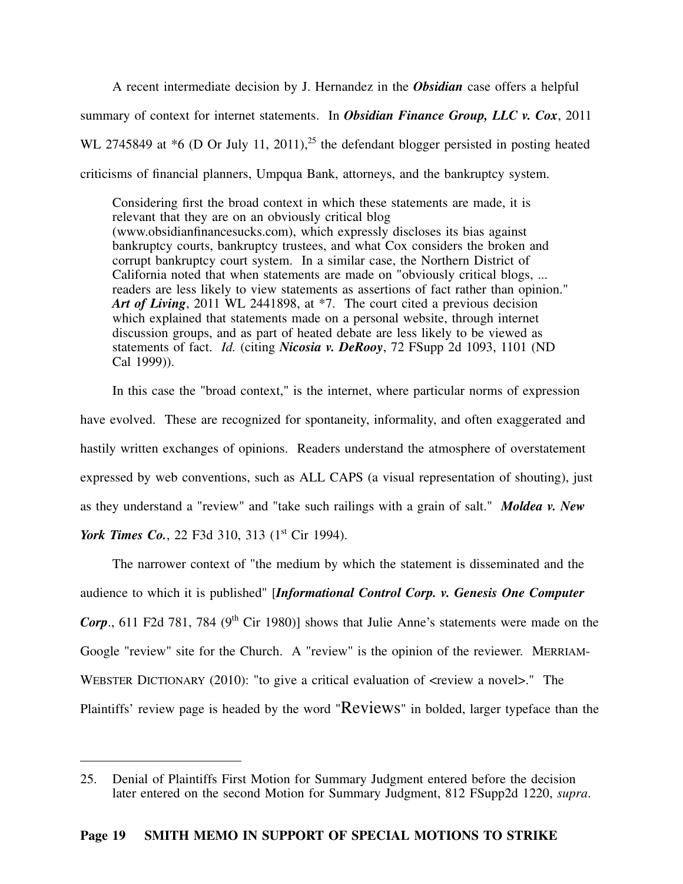A recent intermediate decision by J. Hernandez in the *Obsidian* case offers a helpful summary of context for internet statements. In *Obsidian Finance Group, LLC v. Cox*, 2011 WL 2745849 at  $*6$  (D Or July 11, 2011),<sup>25</sup> the defendant blogger persisted in posting heated criticisms of financial planners, Umpqua Bank, attorneys, and the bankruptcy system.

Considering first the broad context in which these statements are made, it is relevant that they are on an obviously critical blog (www.obsidianfinancesucks.com), which expressly discloses its bias against bankruptcy courts, bankruptcy trustees, and what Cox considers the broken and corrupt bankruptcy court system. In a similar case, the Northern District of California noted that when statements are made on "obviously critical blogs, ... readers are less likely to view statements as assertions of fact rather than opinion." *Art of Living*, 2011 WL 2441898, at \*7. The court cited a previous decision which explained that statements made on a personal website, through internet discussion groups, and as part of heated debate are less likely to be viewed as statements of fact. *Id.* (citing *Nicosia v. DeRooy*, 72 FSupp 2d 1093, 1101 (ND Cal 1999)).

In this case the "broad context," is the internet, where particular norms of expression have evolved. These are recognized for spontaneity, informality, and often exaggerated and hastily written exchanges of opinions. Readers understand the atmosphere of overstatement expressed by web conventions, such as ALL CAPS (a visual representation of shouting), just as they understand a "review" and "take such railings with a grain of salt." *Moldea v. New York Times Co.*, 22 F3d 310, 313 (1<sup>st</sup> Cir 1994).

The narrower context of "the medium by which the statement is disseminated and the audience to which it is published" [*Informational Control Corp. v. Genesis One Computer Corp.*, 611 F2d 781, 784 (9<sup>th</sup> Cir 1980)] shows that Julie Anne's statements were made on the Google "review" site for the Church. A "review" is the opinion of the reviewer. MERRIAM-WEBSTER DICTIONARY (2010): "to give a critical evaluation of  $\leq$  review a novels." The Plaintiffs' review page is headed by the word "Reviews" in bolded, larger typeface than the

<sup>25.</sup> Denial of Plaintiffs First Motion for Summary Judgment entered before the decision later entered on the second Motion for Summary Judgment, 812 FSupp2d 1220, *supra*.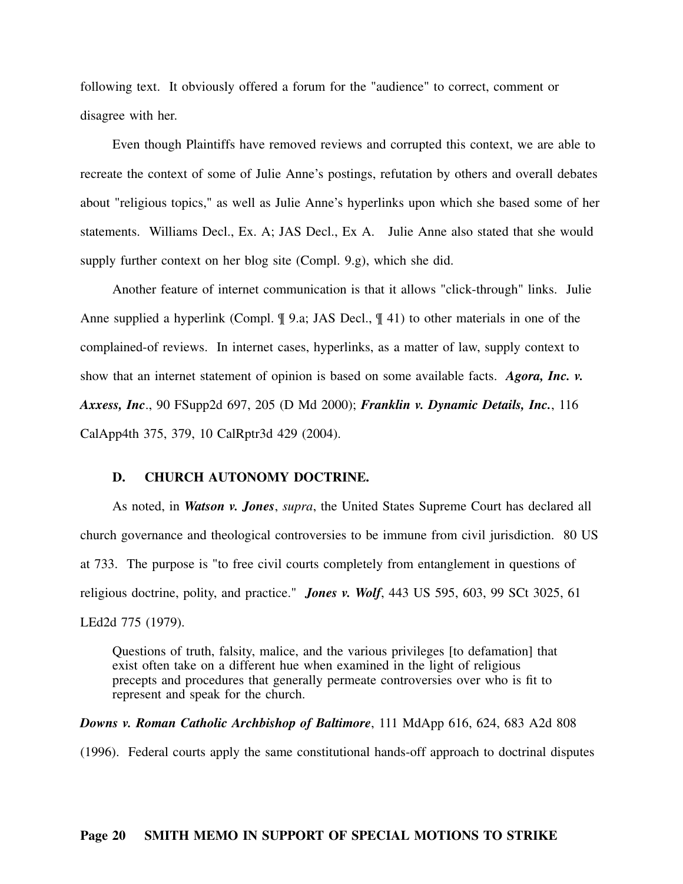following text. It obviously offered a forum for the "audience" to correct, comment or disagree with her.

Even though Plaintiffs have removed reviews and corrupted this context, we are able to recreate the context of some of Julie Anne's postings, refutation by others and overall debates about "religious topics," as well as Julie Anne's hyperlinks upon which she based some of her statements. Williams Decl., Ex. A; JAS Decl., Ex A. Julie Anne also stated that she would supply further context on her blog site (Compl. 9.g), which she did.

Another feature of internet communication is that it allows "click-through" links. Julie Anne supplied a hyperlink (Compl. ¶ 9.a; JAS Decl., ¶ 41) to other materials in one of the complained-of reviews. In internet cases, hyperlinks, as a matter of law, supply context to show that an internet statement of opinion is based on some available facts. *Agora, Inc. v. Axxess, Inc*., 90 FSupp2d 697, 205 (D Md 2000); *Franklin v. Dynamic Details, Inc.*, 116 CalApp4th 375, 379, 10 CalRptr3d 429 (2004).

#### **D. CHURCH AUTONOMY DOCTRINE.**

As noted, in *Watson v. Jones*, *supra*, the United States Supreme Court has declared all church governance and theological controversies to be immune from civil jurisdiction. 80 US at 733. The purpose is "to free civil courts completely from entanglement in questions of religious doctrine, polity, and practice." *Jones v. Wolf*, 443 US 595, 603, 99 SCt 3025, 61 LEd2d 775 (1979).

Questions of truth, falsity, malice, and the various privileges [to defamation] that exist often take on a different hue when examined in the light of religious precepts and procedures that generally permeate controversies over who is fit to represent and speak for the church.

*Downs v. Roman Catholic Archbishop of Baltimore*, 111 MdApp 616, 624, 683 A2d 808 (1996). Federal courts apply the same constitutional hands-off approach to doctrinal disputes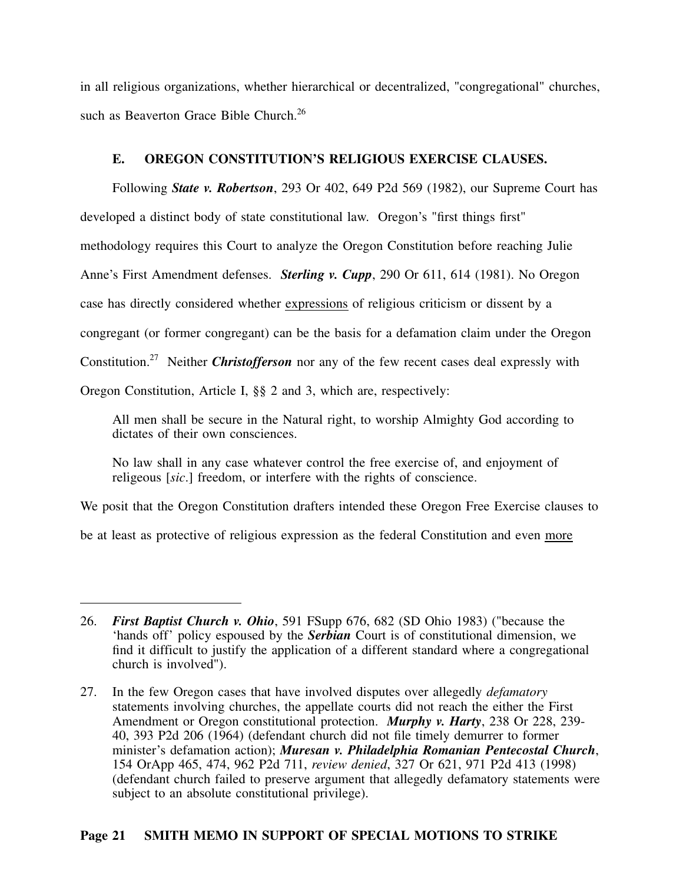in all religious organizations, whether hierarchical or decentralized, "congregational" churches, such as Beaverton Grace Bible Church.<sup>26</sup>

## **E. OREGON CONSTITUTION'S RELIGIOUS EXERCISE CLAUSES.**

Following *State v. Robertson*, 293 Or 402, 649 P2d 569 (1982), our Supreme Court has developed a distinct body of state constitutional law. Oregon's "first things first" methodology requires this Court to analyze the Oregon Constitution before reaching Julie Anne's First Amendment defenses. *Sterling v. Cupp*, 290 Or 611, 614 (1981). No Oregon case has directly considered whether expressions of religious criticism or dissent by a congregant (or former congregant) can be the basis for a defamation claim under the Oregon Constitution.<sup>27</sup> Neither *Christofferson* nor any of the few recent cases deal expressly with

Oregon Constitution, Article I, §§ 2 and 3, which are, respectively:

All men shall be secure in the Natural right, to worship Almighty God according to dictates of their own consciences.

No law shall in any case whatever control the free exercise of, and enjoyment of religeous [*sic*.] freedom, or interfere with the rights of conscience.

We posit that the Oregon Constitution drafters intended these Oregon Free Exercise clauses to

be at least as protective of religious expression as the federal Constitution and even more

<sup>26.</sup> *First Baptist Church v. Ohio*, 591 FSupp 676, 682 (SD Ohio 1983) ("because the 'hands off' policy espoused by the *Serbian* Court is of constitutional dimension, we find it difficult to justify the application of a different standard where a congregational church is involved").

<sup>27.</sup> In the few Oregon cases that have involved disputes over allegedly *defamatory* statements involving churches, the appellate courts did not reach the either the First Amendment or Oregon constitutional protection. *Murphy v. Harty*, 238 Or 228, 239- 40, 393 P2d 206 (1964) (defendant church did not file timely demurrer to former minister's defamation action); *Muresan v. Philadelphia Romanian Pentecostal Church*, 154 OrApp 465, 474, 962 P2d 711, *review denied*, 327 Or 621, 971 P2d 413 (1998) (defendant church failed to preserve argument that allegedly defamatory statements were subject to an absolute constitutional privilege).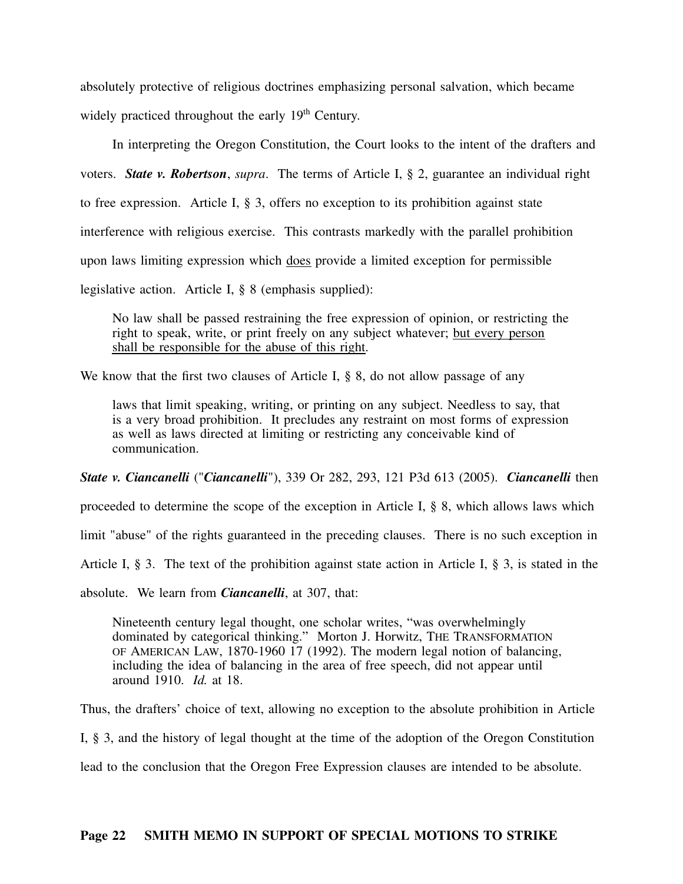absolutely protective of religious doctrines emphasizing personal salvation, which became widely practiced throughout the early  $19<sup>th</sup>$  Century.

In interpreting the Oregon Constitution, the Court looks to the intent of the drafters and voters. *State v. Robertson*, *supra*. The terms of Article I, § 2, guarantee an individual right to free expression. Article I, § 3, offers no exception to its prohibition against state interference with religious exercise. This contrasts markedly with the parallel prohibition upon laws limiting expression which does provide a limited exception for permissible

legislative action. Article I, § 8 (emphasis supplied):

No law shall be passed restraining the free expression of opinion, or restricting the right to speak, write, or print freely on any subject whatever; but every person shall be responsible for the abuse of this right.

We know that the first two clauses of Article I, § 8, do not allow passage of any

laws that limit speaking, writing, or printing on any subject. Needless to say, that is a very broad prohibition. It precludes any restraint on most forms of expression as well as laws directed at limiting or restricting any conceivable kind of communication.

*State v. Ciancanelli* ("*Ciancanelli*"), 339 Or 282, 293, 121 P3d 613 (2005). *Ciancanelli* then

proceeded to determine the scope of the exception in Article I,  $\S$  8, which allows laws which

limit "abuse" of the rights guaranteed in the preceding clauses. There is no such exception in

Article I, § 3. The text of the prohibition against state action in Article I, § 3, is stated in the

absolute. We learn from *Ciancanelli*, at 307, that:

Nineteenth century legal thought, one scholar writes, "was overwhelmingly dominated by categorical thinking." Morton J. Horwitz, THE TRANSFORMATION OF AMERICAN LAW, 1870-1960 17 (1992). The modern legal notion of balancing, including the idea of balancing in the area of free speech, did not appear until around 1910. *Id.* at 18.

Thus, the drafters' choice of text, allowing no exception to the absolute prohibition in Article

I, § 3, and the history of legal thought at the time of the adoption of the Oregon Constitution

lead to the conclusion that the Oregon Free Expression clauses are intended to be absolute.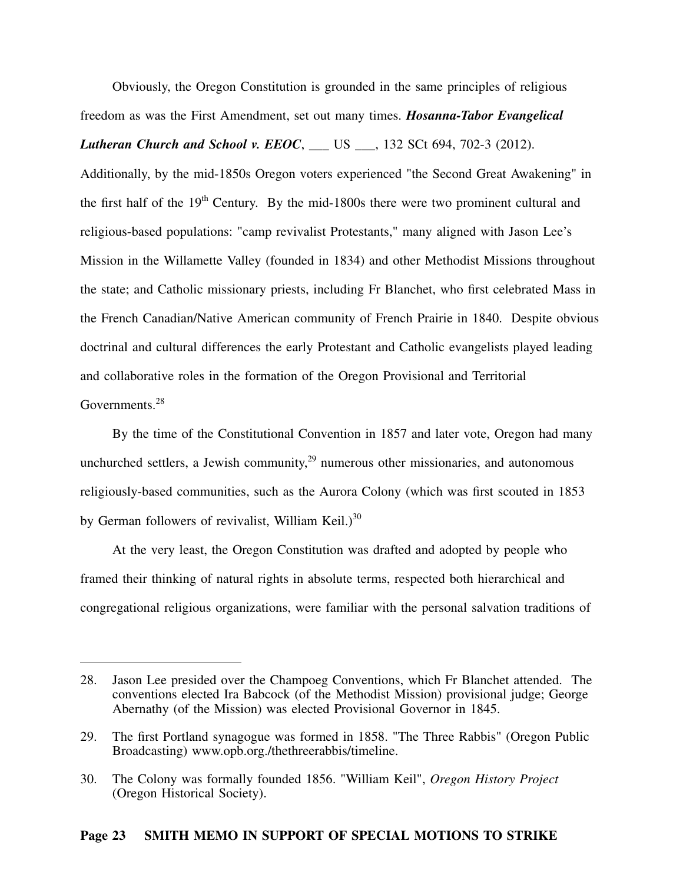Obviously, the Oregon Constitution is grounded in the same principles of religious freedom as was the First Amendment, set out many times. *Hosanna-Tabor Evangelical Lutheran Church and School v. EEOC*, \_\_\_ US \_\_\_, 132 SCt 694, 702-3 (2012).

Additionally, by the mid-1850s Oregon voters experienced "the Second Great Awakening" in the first half of the  $19<sup>th</sup>$  Century. By the mid-1800s there were two prominent cultural and religious-based populations: "camp revivalist Protestants," many aligned with Jason Lee's Mission in the Willamette Valley (founded in 1834) and other Methodist Missions throughout the state; and Catholic missionary priests, including Fr Blanchet, who first celebrated Mass in the French Canadian/Native American community of French Prairie in 1840. Despite obvious doctrinal and cultural differences the early Protestant and Catholic evangelists played leading and collaborative roles in the formation of the Oregon Provisional and Territorial Governments.<sup>28</sup>

By the time of the Constitutional Convention in 1857 and later vote, Oregon had many unchurched settlers, a Jewish community, $29$  numerous other missionaries, and autonomous religiously-based communities, such as the Aurora Colony (which was first scouted in 1853 by German followers of revivalist, William Keil.) $30$ 

At the very least, the Oregon Constitution was drafted and adopted by people who framed their thinking of natural rights in absolute terms, respected both hierarchical and congregational religious organizations, were familiar with the personal salvation traditions of

<sup>28.</sup> Jason Lee presided over the Champoeg Conventions, which Fr Blanchet attended. The conventions elected Ira Babcock (of the Methodist Mission) provisional judge; George Abernathy (of the Mission) was elected Provisional Governor in 1845.

<sup>29.</sup> The first Portland synagogue was formed in 1858. "The Three Rabbis" (Oregon Public Broadcasting) www.opb.org./thethreerabbis/timeline.

<sup>30.</sup> The Colony was formally founded 1856. "William Keil", *Oregon History Project* (Oregon Historical Society).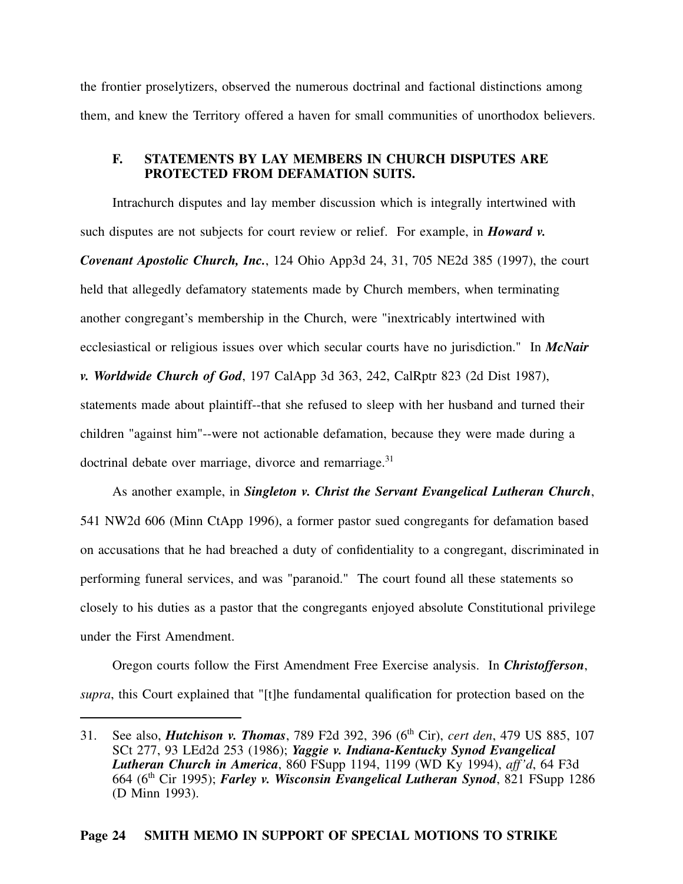the frontier proselytizers, observed the numerous doctrinal and factional distinctions among them, and knew the Territory offered a haven for small communities of unorthodox believers.

#### **F. STATEMENTS BY LAY MEMBERS IN CHURCH DISPUTES ARE PROTECTED FROM DEFAMATION SUITS.**

Intrachurch disputes and lay member discussion which is integrally intertwined with such disputes are not subjects for court review or relief. For example, in *Howard v. Covenant Apostolic Church, Inc.*, 124 Ohio App3d 24, 31, 705 NE2d 385 (1997), the court held that allegedly defamatory statements made by Church members, when terminating another congregant's membership in the Church, were "inextricably intertwined with ecclesiastical or religious issues over which secular courts have no jurisdiction." In *McNair v. Worldwide Church of God*, 197 CalApp 3d 363, 242, CalRptr 823 (2d Dist 1987), statements made about plaintiff--that she refused to sleep with her husband and turned their children "against him"--were not actionable defamation, because they were made during a doctrinal debate over marriage, divorce and remarriage.<sup>31</sup>

As another example, in *Singleton v. Christ the Servant Evangelical Lutheran Church*, 541 NW2d 606 (Minn CtApp 1996), a former pastor sued congregants for defamation based on accusations that he had breached a duty of confidentiality to a congregant, discriminated in performing funeral services, and was "paranoid." The court found all these statements so closely to his duties as a pastor that the congregants enjoyed absolute Constitutional privilege under the First Amendment.

Oregon courts follow the First Amendment Free Exercise analysis. In *Christofferson*, *supra*, this Court explained that "[t]he fundamental qualification for protection based on the

<sup>31.</sup> See also, *Hutchison v. Thomas*, 789 F2d 392, 396 (6th Cir), *cert den*, 479 US 885, 107 SCt 277, 93 LEd2d 253 (1986); *Yaggie v. Indiana-Kentucky Synod Evangelical Lutheran Church in America*, 860 FSupp 1194, 1199 (WD Ky 1994), *aff'd*, 64 F3d 664 (6th Cir 1995); *Farley v. Wisconsin Evangelical Lutheran Synod*, 821 FSupp 1286 (D Minn 1993).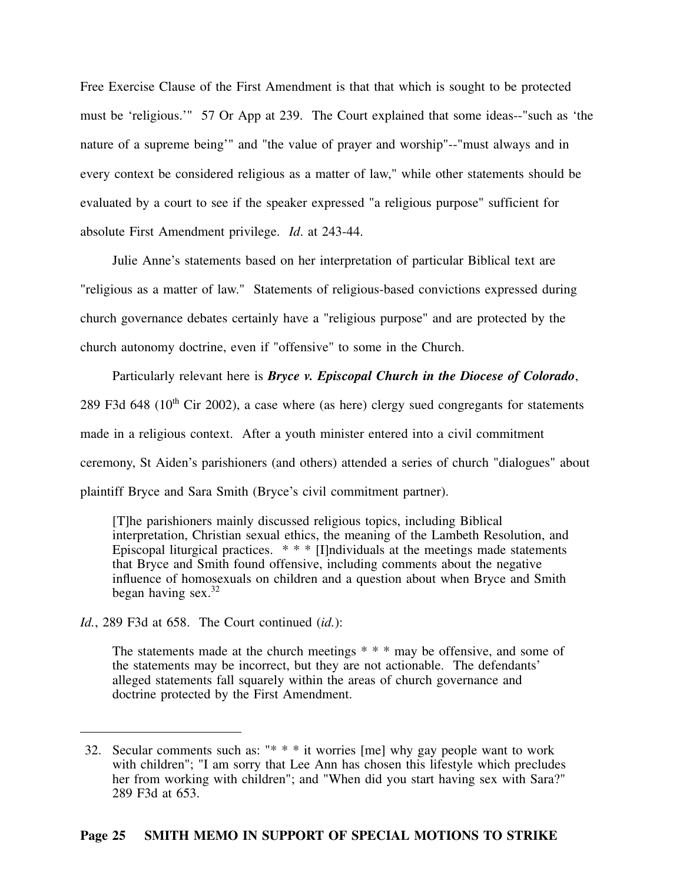Free Exercise Clause of the First Amendment is that that which is sought to be protected must be 'religious.'" 57 Or App at 239. The Court explained that some ideas--"such as 'the nature of a supreme being'" and "the value of prayer and worship"--"must always and in every context be considered religious as a matter of law," while other statements should be evaluated by a court to see if the speaker expressed "a religious purpose" sufficient for absolute First Amendment privilege. *Id*. at 243-44.

Julie Anne's statements based on her interpretation of particular Biblical text are "religious as a matter of law." Statements of religious-based convictions expressed during church governance debates certainly have a "religious purpose" and are protected by the church autonomy doctrine, even if "offensive" to some in the Church.

Particularly relevant here is *Bryce v. Episcopal Church in the Diocese of Colorado*, 289 F3d 648 ( $10<sup>th</sup>$  Cir 2002), a case where (as here) clergy sued congregants for statements made in a religious context. After a youth minister entered into a civil commitment ceremony, St Aiden's parishioners (and others) attended a series of church "dialogues" about plaintiff Bryce and Sara Smith (Bryce's civil commitment partner).

[T]he parishioners mainly discussed religious topics, including Biblical interpretation, Christian sexual ethics, the meaning of the Lambeth Resolution, and Episcopal liturgical practices.  $* * [I]$ ndividuals at the meetings made statements that Bryce and Smith found offensive, including comments about the negative influence of homosexuals on children and a question about when Bryce and Smith began having  $sex.^{32}$ 

*Id.*, 289 F3d at 658. The Court continued (*id.*):

The statements made at the church meetings \* \* \* may be offensive, and some of the statements may be incorrect, but they are not actionable. The defendants' alleged statements fall squarely within the areas of church governance and doctrine protected by the First Amendment.

<sup>32.</sup> Secular comments such as: "\* \* \* it worries [me] why gay people want to work with children"; "I am sorry that Lee Ann has chosen this lifestyle which precludes her from working with children"; and "When did you start having sex with Sara?" 289 F3d at 653.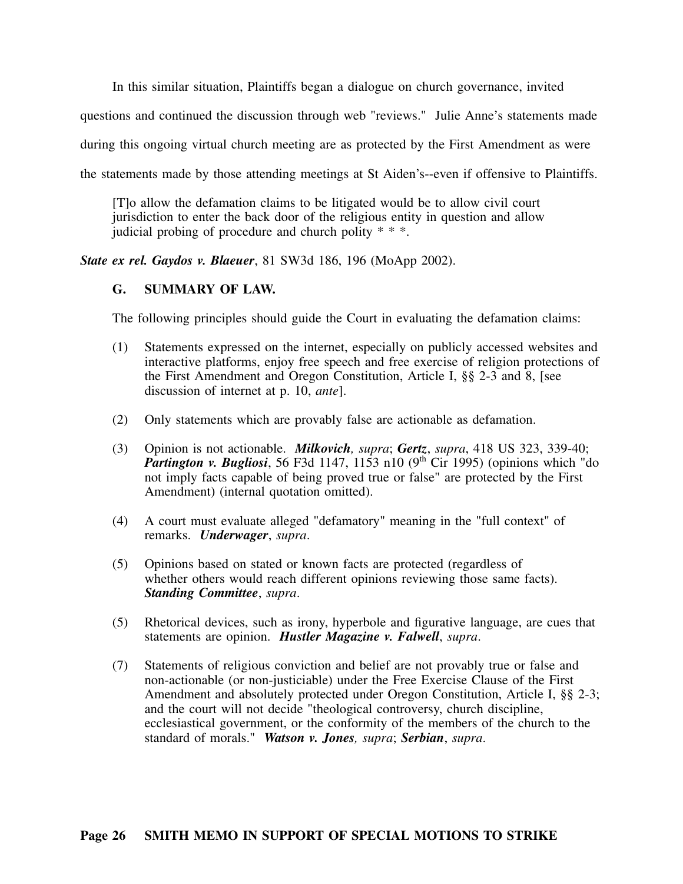In this similar situation, Plaintiffs began a dialogue on church governance, invited

questions and continued the discussion through web "reviews." Julie Anne's statements made

during this ongoing virtual church meeting are as protected by the First Amendment as were

the statements made by those attending meetings at St Aiden's--even if offensive to Plaintiffs.

[T]o allow the defamation claims to be litigated would be to allow civil court jurisdiction to enter the back door of the religious entity in question and allow judicial probing of procedure and church polity \* \* \*.

*State ex rel. Gaydos v. Blaeuer*, 81 SW3d 186, 196 (MoApp 2002).

### **G. SUMMARY OF LAW.**

The following principles should guide the Court in evaluating the defamation claims:

- (1) Statements expressed on the internet, especially on publicly accessed websites and interactive platforms, enjoy free speech and free exercise of religion protections of the First Amendment and Oregon Constitution, Article I, §§ 2-3 and 8, [see discussion of internet at p. 10, *ante*].
- (2) Only statements which are provably false are actionable as defamation.
- (3) Opinion is not actionable. *Milkovich, supra*; *Gertz*, *supra*, 418 US 323, 339-40; *Partington v. Bugliosi*, 56 F3d 1147, 1153 n10 (9<sup>th</sup> Cir 1995) (opinions which "do not imply facts capable of being proved true or false" are protected by the First Amendment) (internal quotation omitted).
- (4) A court must evaluate alleged "defamatory" meaning in the "full context" of remarks. *Underwager*, *supra*.
- (5) Opinions based on stated or known facts are protected (regardless of whether others would reach different opinions reviewing those same facts). *Standing Committee*, *supra*.
- (5) Rhetorical devices, such as irony, hyperbole and figurative language, are cues that statements are opinion. *Hustler Magazine v. Falwell*, *supra*.
- (7) Statements of religious conviction and belief are not provably true or false and non-actionable (or non-justiciable) under the Free Exercise Clause of the First Amendment and absolutely protected under Oregon Constitution, Article I, §§ 2-3; and the court will not decide "theological controversy, church discipline, ecclesiastical government, or the conformity of the members of the church to the standard of morals." *Watson v. Jones, supra*; *Serbian*, *supra*.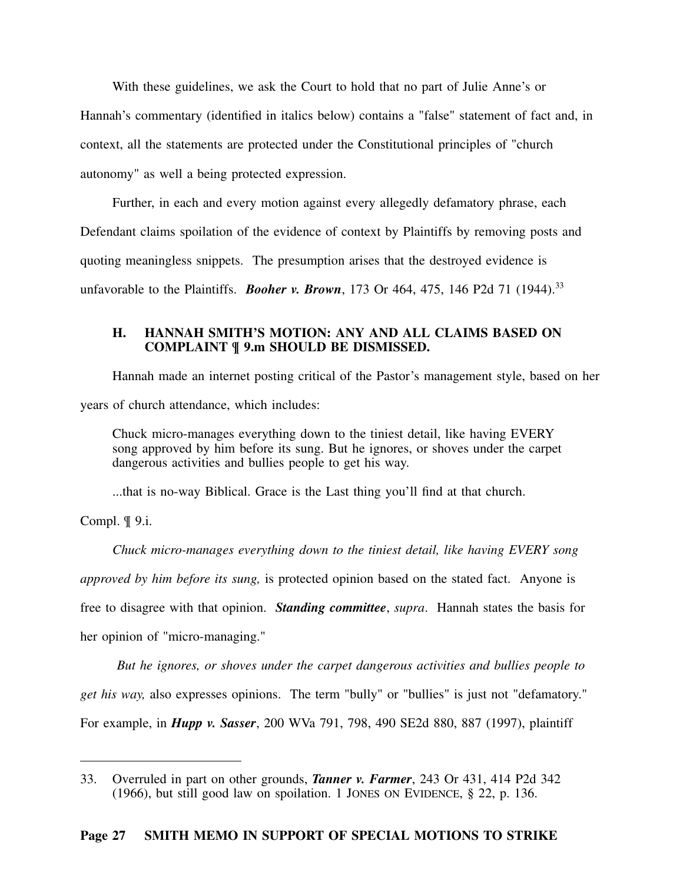With these guidelines, we ask the Court to hold that no part of Julie Anne's or Hannah's commentary (identified in italics below) contains a "false" statement of fact and, in context, all the statements are protected under the Constitutional principles of "church autonomy" as well a being protected expression.

Further, in each and every motion against every allegedly defamatory phrase, each Defendant claims spoilation of the evidence of context by Plaintiffs by removing posts and quoting meaningless snippets. The presumption arises that the destroyed evidence is unfavorable to the Plaintiffs. *Booher v. Brown*, 173 Or 464, 475, 146 P2d 71 (1944).<sup>33</sup>

### **H. HANNAH SMITH'S MOTION: ANY AND ALL CLAIMS BASED ON COMPLAINT ¶ 9.m SHOULD BE DISMISSED.**

Hannah made an internet posting critical of the Pastor's management style, based on her years of church attendance, which includes:

Chuck micro-manages everything down to the tiniest detail, like having EVERY song approved by him before its sung. But he ignores, or shoves under the carpet dangerous activities and bullies people to get his way.

...that is no-way Biblical. Grace is the Last thing you'll find at that church.

Compl. ¶ 9.i.

*Chuck micro-manages everything down to the tiniest detail, like having EVERY song approved by him before its sung,* is protected opinion based on the stated fact. Anyone is free to disagree with that opinion. *Standing committee*, *supra*. Hannah states the basis for her opinion of "micro-managing."

*But he ignores, or shoves under the carpet dangerous activities and bullies people to get his way,* also expresses opinions. The term "bully" or "bullies" is just not "defamatory." For example, in *Hupp v. Sasser*, 200 WVa 791, 798, 490 SE2d 880, 887 (1997), plaintiff

<sup>33.</sup> Overruled in part on other grounds, *Tanner v. Farmer*, 243 Or 431, 414 P2d 342 (1966), but still good law on spoilation. 1 JONES ON EVIDENCE, § 22, p. 136.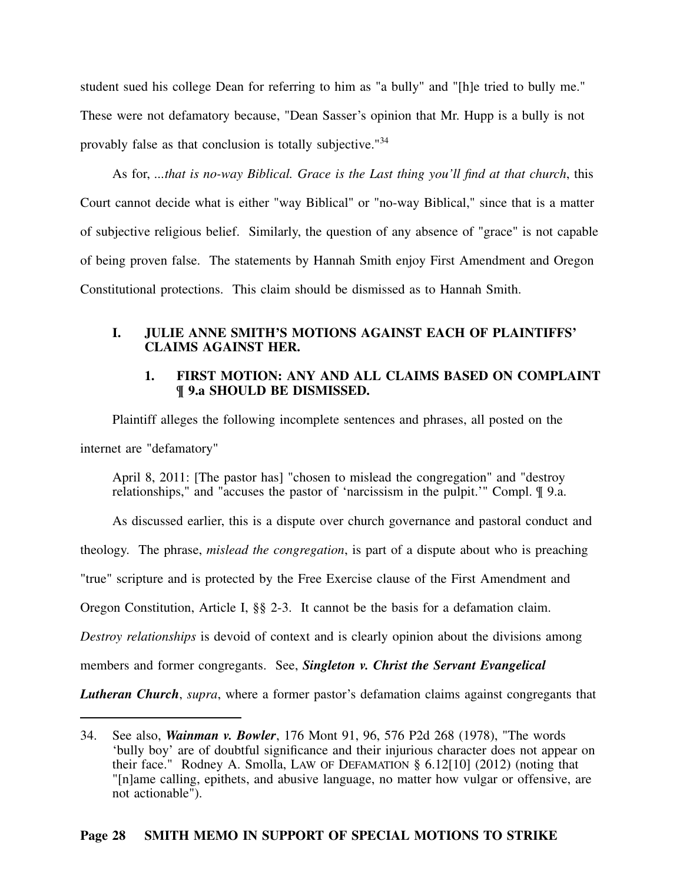student sued his college Dean for referring to him as "a bully" and "[h]e tried to bully me." These were not defamatory because, "Dean Sasser's opinion that Mr. Hupp is a bully is not provably false as that conclusion is totally subjective."<sup>34</sup>

As for, *...that is no-way Biblical. Grace is the Last thing you'll find at that church*, this Court cannot decide what is either "way Biblical" or "no-way Biblical," since that is a matter of subjective religious belief. Similarly, the question of any absence of "grace" is not capable of being proven false. The statements by Hannah Smith enjoy First Amendment and Oregon Constitutional protections. This claim should be dismissed as to Hannah Smith.

### **I. JULIE ANNE SMITH'S MOTIONS AGAINST EACH OF PLAINTIFFS' CLAIMS AGAINST HER.**

## **1. FIRST MOTION: ANY AND ALL CLAIMS BASED ON COMPLAINT ¶ 9.a SHOULD BE DISMISSED.**

Plaintiff alleges the following incomplete sentences and phrases, all posted on the internet are "defamatory"

April 8, 2011: [The pastor has] "chosen to mislead the congregation" and "destroy relationships," and "accuses the pastor of 'narcissism in the pulpit.'" Compl. ¶ 9.a.

As discussed earlier, this is a dispute over church governance and pastoral conduct and theology. The phrase, *mislead the congregation*, is part of a dispute about who is preaching "true" scripture and is protected by the Free Exercise clause of the First Amendment and Oregon Constitution, Article I, §§ 2-3. It cannot be the basis for a defamation claim. *Destroy relationships* is devoid of context and is clearly opinion about the divisions among members and former congregants. See, *Singleton v. Christ the Servant Evangelical*

*Lutheran Church*, *supra*, where a former pastor's defamation claims against congregants that

<sup>34.</sup> See also, *Wainman v. Bowler*, 176 Mont 91, 96, 576 P2d 268 (1978), "The words 'bully boy' are of doubtful significance and their injurious character does not appear on their face." Rodney A. Smolla, LAW OF DEFAMATION  $\S 6.12[10]$  (2012) (noting that "[n]ame calling, epithets, and abusive language, no matter how vulgar or offensive, are not actionable").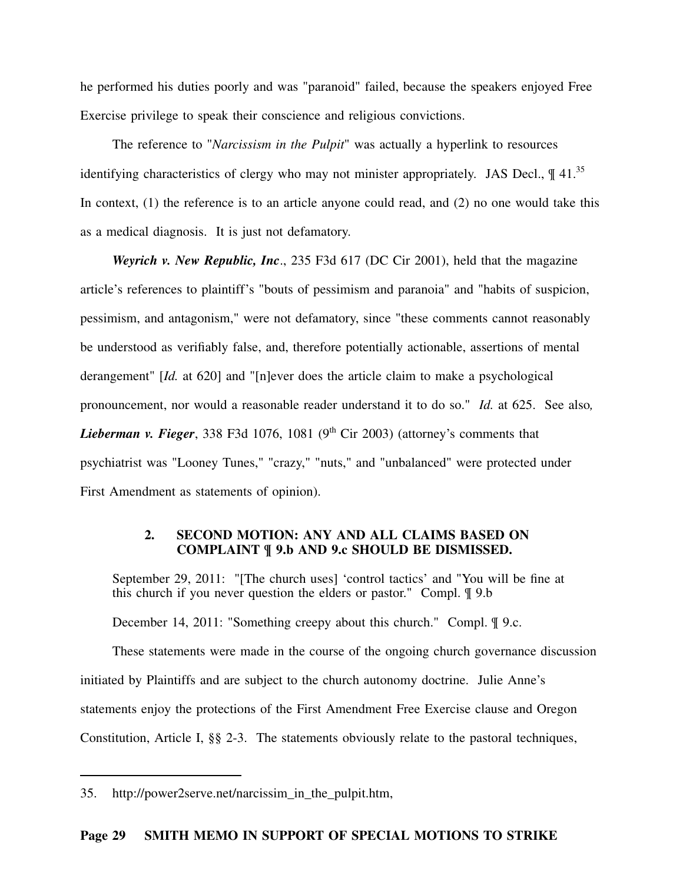he performed his duties poorly and was "paranoid" failed, because the speakers enjoyed Free Exercise privilege to speak their conscience and religious convictions.

The reference to "*Narcissism in the Pulpit*" was actually a hyperlink to resources identifying characteristics of clergy who may not minister appropriately. JAS Decl.,  $\P$  41.<sup>35</sup> In context, (1) the reference is to an article anyone could read, and (2) no one would take this as a medical diagnosis. It is just not defamatory.

*Weyrich v. New Republic, Inc*., 235 F3d 617 (DC Cir 2001), held that the magazine article's references to plaintiff's "bouts of pessimism and paranoia" and "habits of suspicion, pessimism, and antagonism," were not defamatory, since "these comments cannot reasonably be understood as verifiably false, and, therefore potentially actionable, assertions of mental derangement" [*Id.* at 620] and "[n]ever does the article claim to make a psychological pronouncement, nor would a reasonable reader understand it to do so." *Id.* at 625. See also*, Lieberman v. Fieger*, 338 F3d 1076, 1081 ( $9<sup>th</sup>$  Cir 2003) (attorney's comments that psychiatrist was "Looney Tunes," "crazy," "nuts," and "unbalanced" were protected under First Amendment as statements of opinion).

## **2. SECOND MOTION: ANY AND ALL CLAIMS BASED ON COMPLAINT ¶ 9.b AND 9.c SHOULD BE DISMISSED.**

September 29, 2011: "[The church uses] 'control tactics' and "You will be fine at this church if you never question the elders or pastor." Compl. ¶ 9.b

December 14, 2011: "Something creepy about this church." Compl. ¶ 9.c.

These statements were made in the course of the ongoing church governance discussion initiated by Plaintiffs and are subject to the church autonomy doctrine. Julie Anne's statements enjoy the protections of the First Amendment Free Exercise clause and Oregon Constitution, Article I, §§ 2-3. The statements obviously relate to the pastoral techniques,

<sup>35.</sup> http://power2serve.net/narcissim\_in\_the\_pulpit.htm,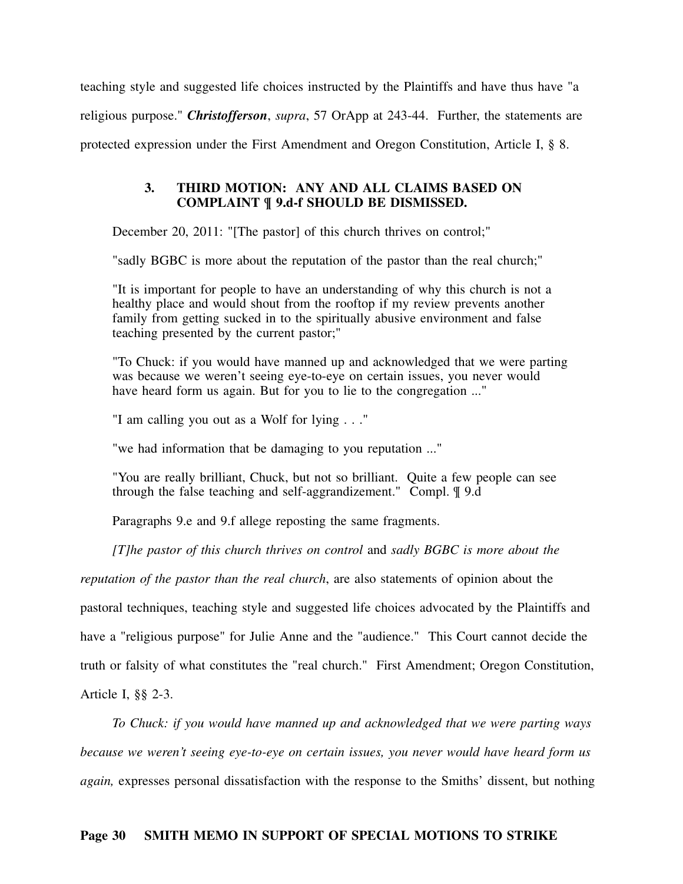teaching style and suggested life choices instructed by the Plaintiffs and have thus have "a religious purpose." *Christofferson*, *supra*, 57 OrApp at 243-44. Further, the statements are protected expression under the First Amendment and Oregon Constitution, Article I, § 8.

### **3. THIRD MOTION: ANY AND ALL CLAIMS BASED ON COMPLAINT ¶ 9.d-f SHOULD BE DISMISSED.**

December 20, 2011: "[The pastor] of this church thrives on control;"

"sadly BGBC is more about the reputation of the pastor than the real church;"

"It is important for people to have an understanding of why this church is not a healthy place and would shout from the rooftop if my review prevents another family from getting sucked in to the spiritually abusive environment and false teaching presented by the current pastor;"

"To Chuck: if you would have manned up and acknowledged that we were parting was because we weren't seeing eye-to-eye on certain issues, you never would have heard form us again. But for you to lie to the congregation ..."

"I am calling you out as a Wolf for lying . . ."

"we had information that be damaging to you reputation ..."

"You are really brilliant, Chuck, but not so brilliant. Quite a few people can see through the false teaching and self-aggrandizement." Compl. ¶ 9.d

Paragraphs 9.e and 9.f allege reposting the same fragments.

*[T]he pastor of this church thrives on control* and *sadly BGBC is more about the*

*reputation of the pastor than the real church*, are also statements of opinion about the

pastoral techniques, teaching style and suggested life choices advocated by the Plaintiffs and

have a "religious purpose" for Julie Anne and the "audience." This Court cannot decide the

truth or falsity of what constitutes the "real church." First Amendment; Oregon Constitution,

Article I, §§ 2-3.

*To Chuck: if you would have manned up and acknowledged that we were parting ways because we weren't seeing eye-to-eye on certain issues, you never would have heard form us*

*again,* expresses personal dissatisfaction with the response to the Smiths' dissent, but nothing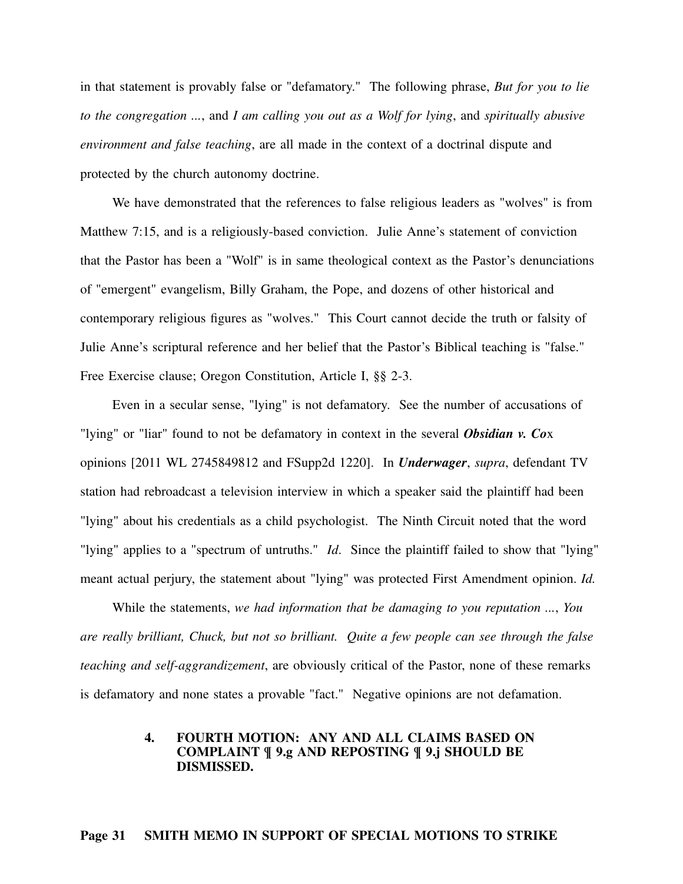in that statement is provably false or "defamatory." The following phrase, *But for you to lie to the congregation ...*, and *I am calling you out as a Wolf for lying*, and *spiritually abusive environment and false teaching*, are all made in the context of a doctrinal dispute and protected by the church autonomy doctrine.

We have demonstrated that the references to false religious leaders as "wolves" is from Matthew 7:15, and is a religiously-based conviction. Julie Anne's statement of conviction that the Pastor has been a "Wolf" is in same theological context as the Pastor's denunciations of "emergent" evangelism, Billy Graham, the Pope, and dozens of other historical and contemporary religious figures as "wolves." This Court cannot decide the truth or falsity of Julie Anne's scriptural reference and her belief that the Pastor's Biblical teaching is "false." Free Exercise clause; Oregon Constitution, Article I, §§ 2-3.

Even in a secular sense, "lying" is not defamatory. See the number of accusations of "lying" or "liar" found to not be defamatory in context in the several *Obsidian v. Co*x opinions [2011 WL 2745849812 and FSupp2d 1220]. In *Underwager*, *supra*, defendant TV station had rebroadcast a television interview in which a speaker said the plaintiff had been "lying" about his credentials as a child psychologist. The Ninth Circuit noted that the word "lying" applies to a "spectrum of untruths." *Id*. Since the plaintiff failed to show that "lying" meant actual perjury, the statement about "lying" was protected First Amendment opinion. *Id.*

While the statements, *we had information that be damaging to you reputation ...*, *You are really brilliant, Chuck, but not so brilliant. Quite a few people can see through the false teaching and self-aggrandizement*, are obviously critical of the Pastor, none of these remarks is defamatory and none states a provable "fact." Negative opinions are not defamation.

### **4. FOURTH MOTION: ANY AND ALL CLAIMS BASED ON COMPLAINT ¶ 9.g AND REPOSTING ¶ 9.j SHOULD BE DISMISSED.**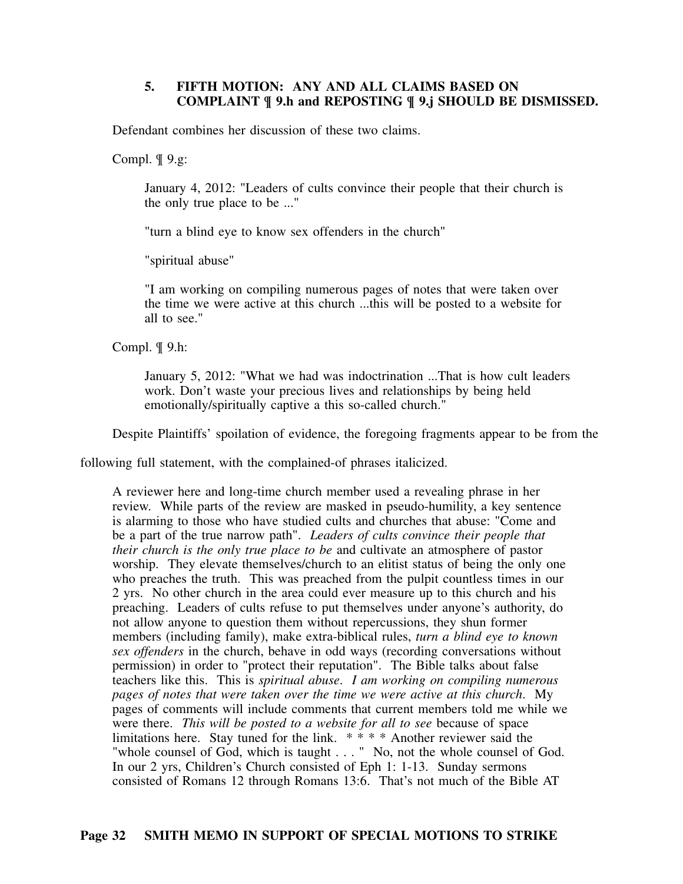## **5. FIFTH MOTION: ANY AND ALL CLAIMS BASED ON COMPLAINT ¶ 9.h and REPOSTING ¶ 9.j SHOULD BE DISMISSED.**

Defendant combines her discussion of these two claims.

Compl.  $\P$  9.g:

January 4, 2012: "Leaders of cults convince their people that their church is the only true place to be ..."

"turn a blind eye to know sex offenders in the church"

"spiritual abuse"

"I am working on compiling numerous pages of notes that were taken over the time we were active at this church ...this will be posted to a website for all to see."

Compl. ¶ 9.h:

January 5, 2012: "What we had was indoctrination ...That is how cult leaders work. Don't waste your precious lives and relationships by being held emotionally/spiritually captive a this so-called church."

Despite Plaintiffs' spoilation of evidence, the foregoing fragments appear to be from the

following full statement, with the complained-of phrases italicized.

A reviewer here and long-time church member used a revealing phrase in her review. While parts of the review are masked in pseudo-humility, a key sentence is alarming to those who have studied cults and churches that abuse: "Come and be a part of the true narrow path". *Leaders of cults convince their people that their church is the only true place to be* and cultivate an atmosphere of pastor worship. They elevate themselves/church to an elitist status of being the only one who preaches the truth. This was preached from the pulpit countless times in our 2 yrs. No other church in the area could ever measure up to this church and his preaching. Leaders of cults refuse to put themselves under anyone's authority, do not allow anyone to question them without repercussions, they shun former members (including family), make extra-biblical rules, *turn a blind eye to known sex offenders* in the church, behave in odd ways (recording conversations without permission) in order to "protect their reputation". The Bible talks about false teachers like this. This is *spiritual abuse*. *I am working on compiling numerous pages of notes that were taken over the time we were active at this church*. My pages of comments will include comments that current members told me while we were there. *This will be posted to a website for all to see* because of space limitations here. Stay tuned for the link.  $***$  Another reviewer said the "whole counsel of God, which is taught . . . " No, not the whole counsel of God. In our 2 yrs, Children's Church consisted of Eph 1: 1-13. Sunday sermons consisted of Romans 12 through Romans 13:6. That's not much of the Bible AT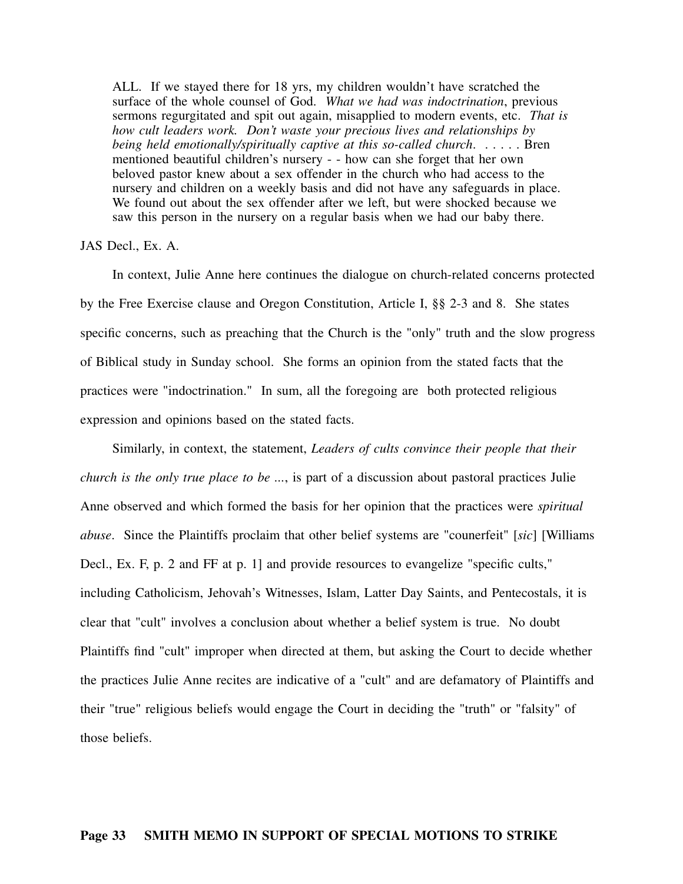ALL. If we stayed there for 18 yrs, my children wouldn't have scratched the surface of the whole counsel of God. *What we had was indoctrination*, previous sermons regurgitated and spit out again, misapplied to modern events, etc. *That is how cult leaders work. Don't waste your precious lives and relationships by being held emotionally/spiritually captive at this so-called church.* . . . . . . Bren mentioned beautiful children's nursery - - how can she forget that her own beloved pastor knew about a sex offender in the church who had access to the nursery and children on a weekly basis and did not have any safeguards in place. We found out about the sex offender after we left, but were shocked because we saw this person in the nursery on a regular basis when we had our baby there.

### JAS Decl., Ex. A.

In context, Julie Anne here continues the dialogue on church-related concerns protected by the Free Exercise clause and Oregon Constitution, Article I, §§ 2-3 and 8. She states specific concerns, such as preaching that the Church is the "only" truth and the slow progress of Biblical study in Sunday school. She forms an opinion from the stated facts that the practices were "indoctrination." In sum, all the foregoing are both protected religious expression and opinions based on the stated facts.

Similarly, in context, the statement, *Leaders of cults convince their people that their church is the only true place to be ...*, is part of a discussion about pastoral practices Julie Anne observed and which formed the basis for her opinion that the practices were *spiritual abuse*. Since the Plaintiffs proclaim that other belief systems are "counerfeit" [*sic*] [Williams Decl., Ex. F, p. 2 and FF at p. 1] and provide resources to evangelize "specific cults," including Catholicism, Jehovah's Witnesses, Islam, Latter Day Saints, and Pentecostals, it is clear that "cult" involves a conclusion about whether a belief system is true. No doubt Plaintiffs find "cult" improper when directed at them, but asking the Court to decide whether the practices Julie Anne recites are indicative of a "cult" and are defamatory of Plaintiffs and their "true" religious beliefs would engage the Court in deciding the "truth" or "falsity" of those beliefs.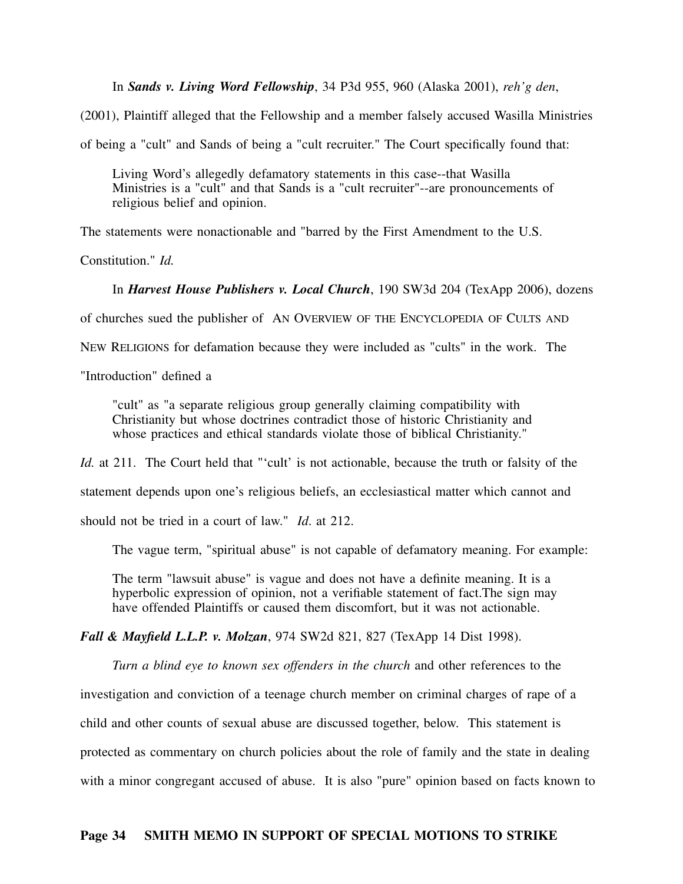In *Sands v. Living Word Fellowship*, 34 P3d 955, 960 (Alaska 2001), *reh'g den*,

(2001), Plaintiff alleged that the Fellowship and a member falsely accused Wasilla Ministries

of being a "cult" and Sands of being a "cult recruiter." The Court specifically found that:

Living Word's allegedly defamatory statements in this case--that Wasilla Ministries is a "cult" and that Sands is a "cult recruiter"--are pronouncements of religious belief and opinion.

The statements were nonactionable and "barred by the First Amendment to the U.S.

Constitution." *Id.*

In *Harvest House Publishers v. Local Church*, 190 SW3d 204 (TexApp 2006), dozens

of churches sued the publisher of AN OVERVIEW OF THE ENCYCLOPEDIA OF CULTS AND

NEW RELIGIONS for defamation because they were included as "cults" in the work. The

"Introduction" defined a

"cult" as "a separate religious group generally claiming compatibility with Christianity but whose doctrines contradict those of historic Christianity and whose practices and ethical standards violate those of biblical Christianity."

*Id.* at 211. The Court held that "'cult' is not actionable, because the truth or falsity of the

statement depends upon one's religious beliefs, an ecclesiastical matter which cannot and

should not be tried in a court of law." *Id*. at 212.

The vague term, "spiritual abuse" is not capable of defamatory meaning. For example:

The term "lawsuit abuse" is vague and does not have a definite meaning. It is a hyperbolic expression of opinion, not a verifiable statement of fact.The sign may have offended Plaintiffs or caused them discomfort, but it was not actionable.

*Fall & Mayfield L.L.P. v. Molzan*, 974 SW2d 821, 827 (TexApp 14 Dist 1998).

*Turn a blind eye to known sex offenders in the church* and other references to the investigation and conviction of a teenage church member on criminal charges of rape of a child and other counts of sexual abuse are discussed together, below. This statement is protected as commentary on church policies about the role of family and the state in dealing with a minor congregant accused of abuse. It is also "pure" opinion based on facts known to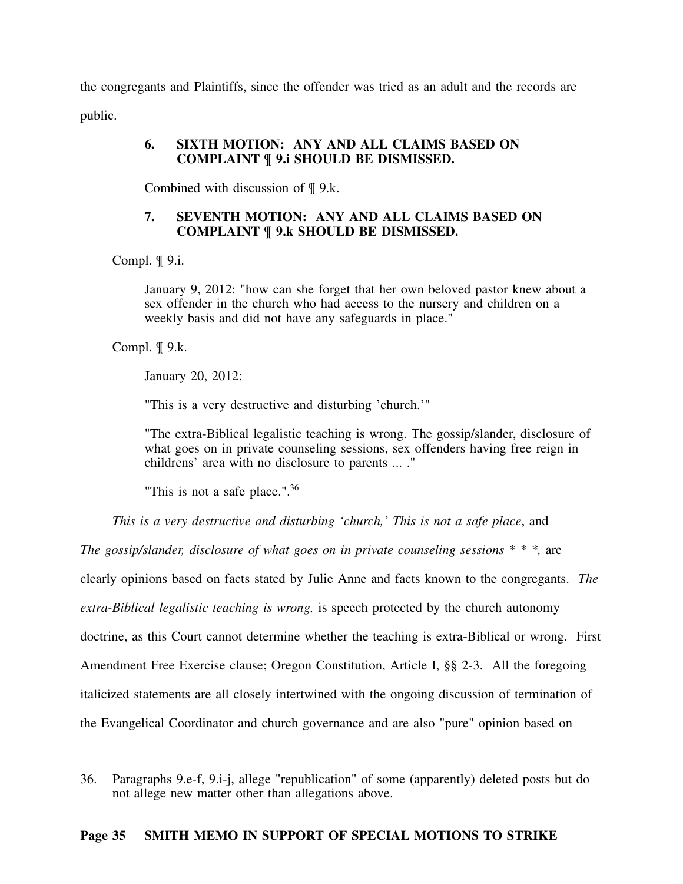the congregants and Plaintiffs, since the offender was tried as an adult and the records are public.

### **6. SIXTH MOTION: ANY AND ALL CLAIMS BASED ON COMPLAINT ¶ 9.i SHOULD BE DISMISSED.**

Combined with discussion of ¶ 9.k.

## **7. SEVENTH MOTION: ANY AND ALL CLAIMS BASED ON COMPLAINT ¶ 9.k SHOULD BE DISMISSED.**

Compl. ¶ 9.i.

January 9, 2012: "how can she forget that her own beloved pastor knew about a sex offender in the church who had access to the nursery and children on a weekly basis and did not have any safeguards in place."

Compl. ¶ 9.k.

January 20, 2012:

"This is a very destructive and disturbing 'church.'"

"The extra-Biblical legalistic teaching is wrong. The gossip/slander, disclosure of what goes on in private counseling sessions, sex offenders having free reign in childrens' area with no disclosure to parents ... ."

"This is not a safe place.".<sup>36</sup>

*This is a very destructive and disturbing 'church,' This is not a safe place*, and

*The gossip/slander, disclosure of what goes on in private counseling sessions \* \* \*,* are

clearly opinions based on facts stated by Julie Anne and facts known to the congregants. *The*

*extra-Biblical legalistic teaching is wrong,* is speech protected by the church autonomy

doctrine, as this Court cannot determine whether the teaching is extra-Biblical or wrong. First

Amendment Free Exercise clause; Oregon Constitution, Article I, §§ 2-3. All the foregoing

italicized statements are all closely intertwined with the ongoing discussion of termination of

the Evangelical Coordinator and church governance and are also "pure" opinion based on

<sup>36.</sup> Paragraphs 9.e-f, 9.i-j, allege "republication" of some (apparently) deleted posts but do not allege new matter other than allegations above.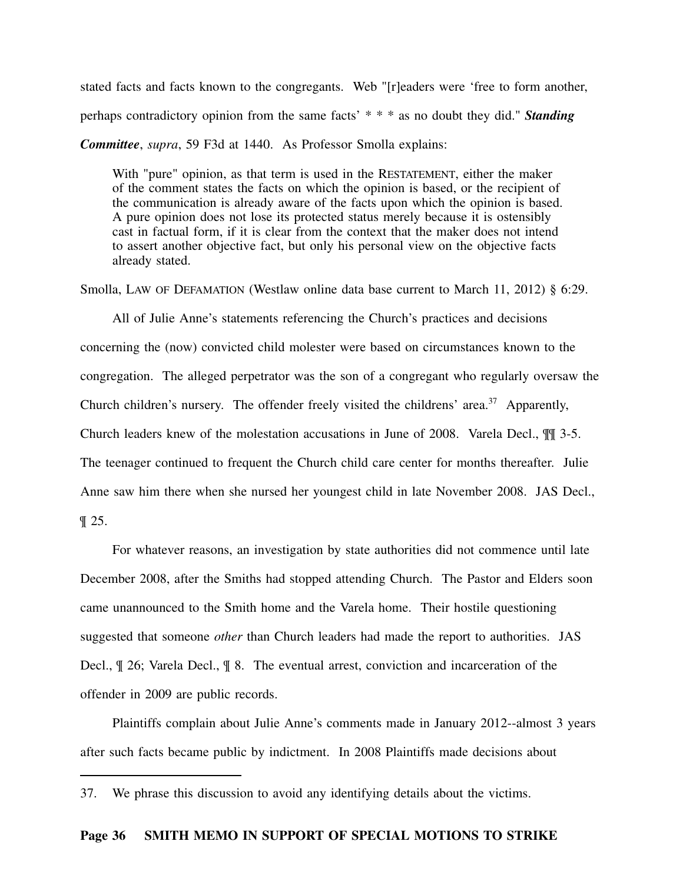stated facts and facts known to the congregants. Web "[r]eaders were 'free to form another, perhaps contradictory opinion from the same facts' \* \* \* as no doubt they did." *Standing Committee*, *supra*, 59 F3d at 1440. As Professor Smolla explains:

With "pure" opinion, as that term is used in the RESTATEMENT, either the maker of the comment states the facts on which the opinion is based, or the recipient of the communication is already aware of the facts upon which the opinion is based. A pure opinion does not lose its protected status merely because it is ostensibly cast in factual form, if it is clear from the context that the maker does not intend to assert another objective fact, but only his personal view on the objective facts already stated.

Smolla, LAW OF DEFAMATION (Westlaw online data base current to March 11, 2012) § 6:29.

All of Julie Anne's statements referencing the Church's practices and decisions concerning the (now) convicted child molester were based on circumstances known to the congregation. The alleged perpetrator was the son of a congregant who regularly oversaw the Church children's nursery. The offender freely visited the childrens' area.<sup>37</sup> Apparently, Church leaders knew of the molestation accusations in June of 2008. Varela Decl., ¶¶ 3-5. The teenager continued to frequent the Church child care center for months thereafter. Julie Anne saw him there when she nursed her youngest child in late November 2008. JAS Decl., ¶ 25.

For whatever reasons, an investigation by state authorities did not commence until late December 2008, after the Smiths had stopped attending Church. The Pastor and Elders soon came unannounced to the Smith home and the Varela home. Their hostile questioning suggested that someone *other* than Church leaders had made the report to authorities. JAS Decl., ¶ 26; Varela Decl., ¶ 8. The eventual arrest, conviction and incarceration of the offender in 2009 are public records.

Plaintiffs complain about Julie Anne's comments made in January 2012--almost 3 years after such facts became public by indictment. In 2008 Plaintiffs made decisions about

<sup>37.</sup> We phrase this discussion to avoid any identifying details about the victims.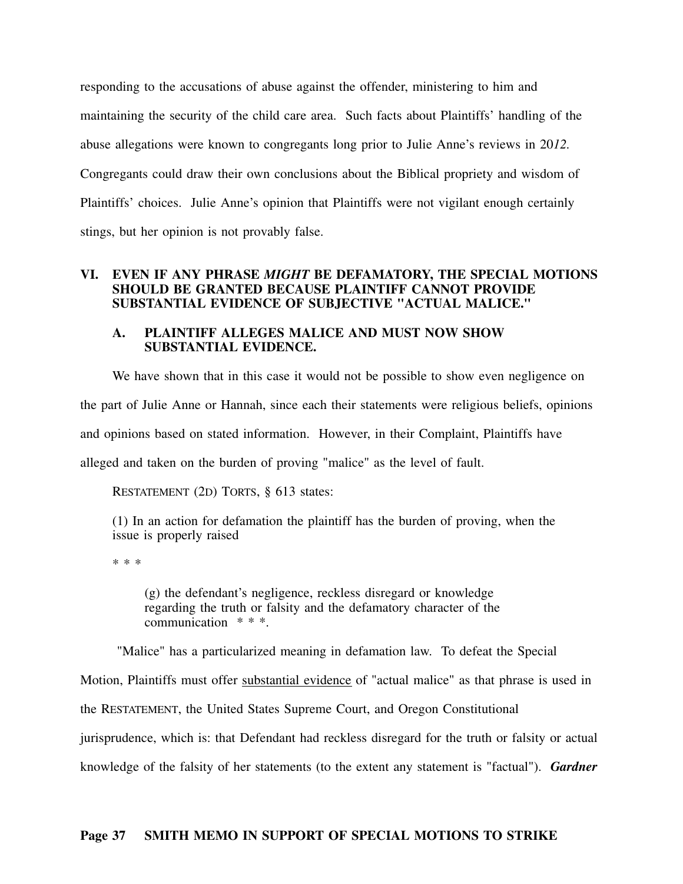responding to the accusations of abuse against the offender, ministering to him and maintaining the security of the child care area. Such facts about Plaintiffs' handling of the abuse allegations were known to congregants long prior to Julie Anne's reviews in 20*12.* Congregants could draw their own conclusions about the Biblical propriety and wisdom of Plaintiffs' choices. Julie Anne's opinion that Plaintiffs were not vigilant enough certainly stings, but her opinion is not provably false.

#### **VI. EVEN IF ANY PHRASE** *MIGHT* **BE DEFAMATORY, THE SPECIAL MOTIONS SHOULD BE GRANTED BECAUSE PLAINTIFF CANNOT PROVIDE SUBSTANTIAL EVIDENCE OF SUBJECTIVE "ACTUAL MALICE."**

#### **A. PLAINTIFF ALLEGES MALICE AND MUST NOW SHOW SUBSTANTIAL EVIDENCE.**

We have shown that in this case it would not be possible to show even negligence on the part of Julie Anne or Hannah, since each their statements were religious beliefs, opinions and opinions based on stated information. However, in their Complaint, Plaintiffs have alleged and taken on the burden of proving "malice" as the level of fault.

RESTATEMENT (2D) TORTS, § 613 states:

(1) In an action for defamation the plaintiff has the burden of proving, when the issue is properly raised

\* \* \*

(g) the defendant's negligence, reckless disregard or knowledge regarding the truth or falsity and the defamatory character of the communication  $**$ .

"Malice" has a particularized meaning in defamation law. To defeat the Special

Motion, Plaintiffs must offer substantial evidence of "actual malice" as that phrase is used in the RESTATEMENT, the United States Supreme Court, and Oregon Constitutional jurisprudence, which is: that Defendant had reckless disregard for the truth or falsity or actual knowledge of the falsity of her statements (to the extent any statement is "factual"). *Gardner*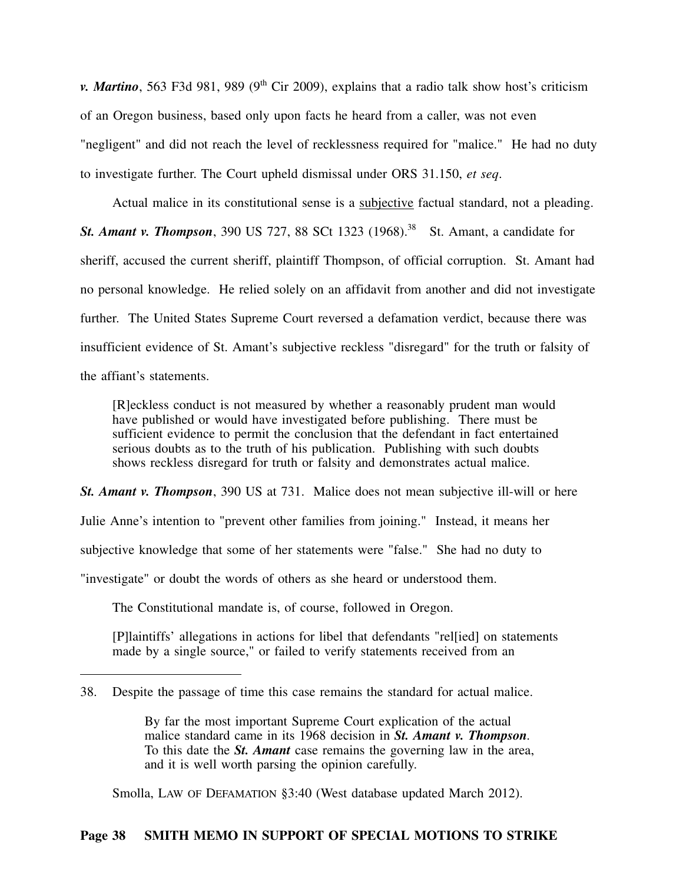*v. Martino*, 563 F3d 981, 989 (9<sup>th</sup> Cir 2009), explains that a radio talk show host's criticism of an Oregon business, based only upon facts he heard from a caller, was not even "negligent" and did not reach the level of recklessness required for "malice." He had no duty to investigate further. The Court upheld dismissal under ORS 31.150, *et seq*.

Actual malice in its constitutional sense is a subjective factual standard, not a pleading. **St. Amant v. Thompson**, 390 US 727, 88 SCt 1323 (1968).<sup>38</sup> St. Amant, a candidate for sheriff, accused the current sheriff, plaintiff Thompson, of official corruption. St. Amant had no personal knowledge. He relied solely on an affidavit from another and did not investigate further. The United States Supreme Court reversed a defamation verdict, because there was insufficient evidence of St. Amant's subjective reckless "disregard" for the truth or falsity of the affiant's statements.

[R]eckless conduct is not measured by whether a reasonably prudent man would have published or would have investigated before publishing. There must be sufficient evidence to permit the conclusion that the defendant in fact entertained serious doubts as to the truth of his publication. Publishing with such doubts shows reckless disregard for truth or falsity and demonstrates actual malice.

*St. Amant v. Thompson*, 390 US at 731. Malice does not mean subjective ill-will or here Julie Anne's intention to "prevent other families from joining." Instead, it means her subjective knowledge that some of her statements were "false." She had no duty to "investigate" or doubt the words of others as she heard or understood them.

The Constitutional mandate is, of course, followed in Oregon.

[P]laintiffs' allegations in actions for libel that defendants "rel[ied] on statements made by a single source," or failed to verify statements received from an

Smolla, LAW OF DEFAMATION §3:40 (West database updated March 2012).

<sup>38.</sup> Despite the passage of time this case remains the standard for actual malice.

By far the most important Supreme Court explication of the actual malice standard came in its 1968 decision in *St. Amant v. Thompson.* To this date the *St. Amant* case remains the governing law in the area, and it is well worth parsing the opinion carefully.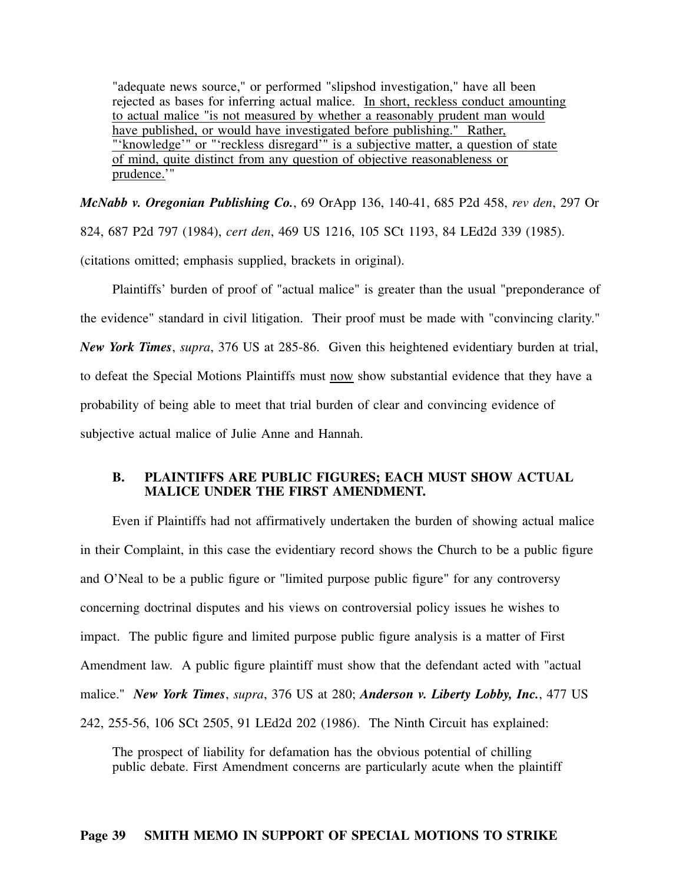"adequate news source," or performed "slipshod investigation," have all been rejected as bases for inferring actual malice. In short, reckless conduct amounting to actual malice "is not measured by whether a reasonably prudent man would have published, or would have investigated before publishing." Rather, "'knowledge'" or "'reckless disregard'" is a subjective matter, a question of state of mind, quite distinct from any question of objective reasonableness or prudence.'"

*McNabb v. Oregonian Publishing Co.*, 69 OrApp 136, 140-41, 685 P2d 458, *rev den*, 297 Or 824, 687 P2d 797 (1984), *cert den*, 469 US 1216, 105 SCt 1193, 84 LEd2d 339 (1985). (citations omitted; emphasis supplied, brackets in original).

Plaintiffs' burden of proof of "actual malice" is greater than the usual "preponderance of the evidence" standard in civil litigation. Their proof must be made with "convincing clarity." *New York Times*, *supra*, 376 US at 285-86. Given this heightened evidentiary burden at trial, to defeat the Special Motions Plaintiffs must now show substantial evidence that they have a probability of being able to meet that trial burden of clear and convincing evidence of subjective actual malice of Julie Anne and Hannah.

#### **B. PLAINTIFFS ARE PUBLIC FIGURES; EACH MUST SHOW ACTUAL MALICE UNDER THE FIRST AMENDMENT.**

Even if Plaintiffs had not affirmatively undertaken the burden of showing actual malice in their Complaint, in this case the evidentiary record shows the Church to be a public figure and O'Neal to be a public figure or "limited purpose public figure" for any controversy concerning doctrinal disputes and his views on controversial policy issues he wishes to impact. The public figure and limited purpose public figure analysis is a matter of First Amendment law. A public figure plaintiff must show that the defendant acted with "actual malice." *New York Times*, *supra*, 376 US at 280; *Anderson v. Liberty Lobby, Inc.*, 477 US 242, 255-56, 106 SCt 2505, 91 LEd2d 202 (1986). The Ninth Circuit has explained:

The prospect of liability for defamation has the obvious potential of chilling public debate. First Amendment concerns are particularly acute when the plaintiff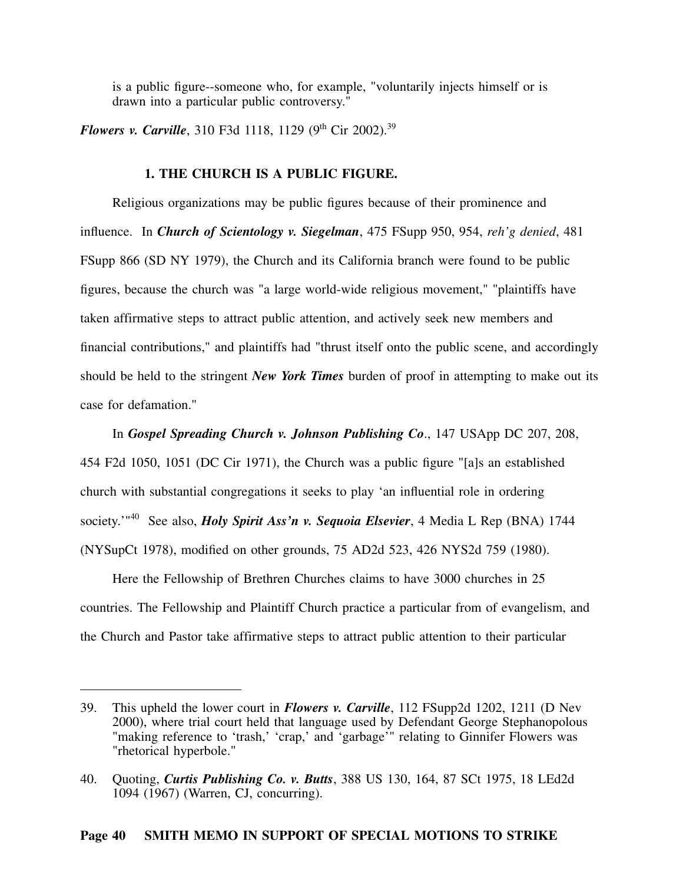is a public figure--someone who, for example, "voluntarily injects himself or is drawn into a particular public controversy."

*Flowers v. Carville*, 310 F3d 1118, 1129 (9<sup>th</sup> Cir 2002).<sup>39</sup>

### **1. THE CHURCH IS A PUBLIC FIGURE.**

Religious organizations may be public figures because of their prominence and influence. In *Church of Scientology v. Siegelman*, 475 FSupp 950, 954, *reh'g denied*, 481 FSupp 866 (SD NY 1979), the Church and its California branch were found to be public figures, because the church was "a large world-wide religious movement," "plaintiffs have taken affirmative steps to attract public attention, and actively seek new members and financial contributions," and plaintiffs had "thrust itself onto the public scene, and accordingly should be held to the stringent *New York Times* burden of proof in attempting to make out its case for defamation."

In *Gospel Spreading Church v. Johnson Publishing Co*., 147 USApp DC 207, 208, 454 F2d 1050, 1051 (DC Cir 1971), the Church was a public figure "[a]s an established church with substantial congregations it seeks to play 'an influential role in ordering society.'"<sup>40</sup> See also, *Holy Spirit Ass'n v. Sequoia Elsevier*, 4 Media L Rep (BNA) 1744 (NYSupCt 1978), modified on other grounds, 75 AD2d 523, 426 NYS2d 759 (1980).

Here the Fellowship of Brethren Churches claims to have 3000 churches in 25 countries. The Fellowship and Plaintiff Church practice a particular from of evangelism, and the Church and Pastor take affirmative steps to attract public attention to their particular

<sup>39.</sup> This upheld the lower court in *Flowers v. Carville*, 112 FSupp2d 1202, 1211 (D Nev 2000), where trial court held that language used by Defendant George Stephanopolous "making reference to 'trash,' 'crap,' and 'garbage'" relating to Ginnifer Flowers was "rhetorical hyperbole."

<sup>40.</sup> Quoting, *Curtis Publishing Co. v. Butts*, 388 US 130, 164, 87 SCt 1975, 18 LEd2d 1094 (1967) (Warren, CJ, concurring).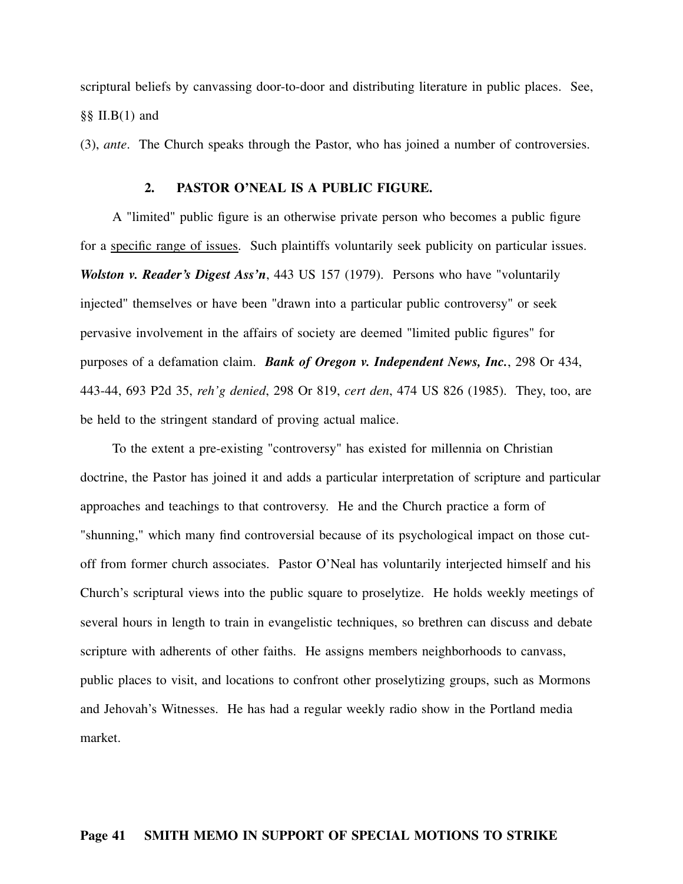scriptural beliefs by canvassing door-to-door and distributing literature in public places. See, §§ II.B(1) and

(3), *ante*. The Church speaks through the Pastor, who has joined a number of controversies.

#### **2. PASTOR O'NEAL IS A PUBLIC FIGURE.**

A "limited" public figure is an otherwise private person who becomes a public figure for a specific range of issues. Such plaintiffs voluntarily seek publicity on particular issues. *Wolston v. Reader's Digest Ass'n*, 443 US 157 (1979). Persons who have "voluntarily injected" themselves or have been "drawn into a particular public controversy" or seek pervasive involvement in the affairs of society are deemed "limited public figures" for purposes of a defamation claim. *Bank of Oregon v. Independent News, Inc.*, 298 Or 434, 443-44, 693 P2d 35, *reh'g denied*, 298 Or 819, *cert den*, 474 US 826 (1985). They, too, are be held to the stringent standard of proving actual malice.

To the extent a pre-existing "controversy" has existed for millennia on Christian doctrine, the Pastor has joined it and adds a particular interpretation of scripture and particular approaches and teachings to that controversy. He and the Church practice a form of "shunning," which many find controversial because of its psychological impact on those cutoff from former church associates. Pastor O'Neal has voluntarily interjected himself and his Church's scriptural views into the public square to proselytize. He holds weekly meetings of several hours in length to train in evangelistic techniques, so brethren can discuss and debate scripture with adherents of other faiths. He assigns members neighborhoods to canvass, public places to visit, and locations to confront other proselytizing groups, such as Mormons and Jehovah's Witnesses. He has had a regular weekly radio show in the Portland media market.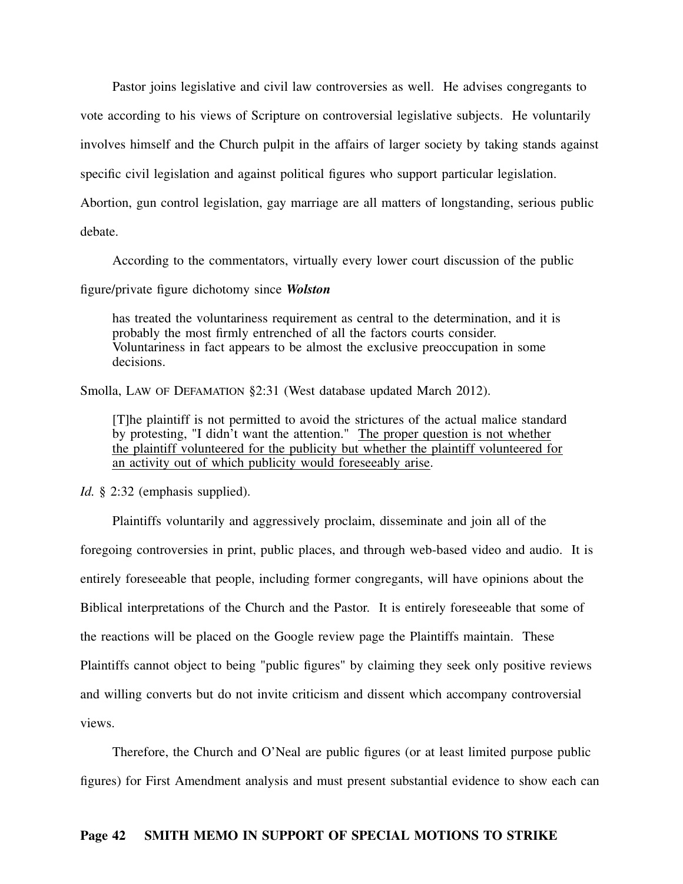Pastor joins legislative and civil law controversies as well. He advises congregants to vote according to his views of Scripture on controversial legislative subjects. He voluntarily involves himself and the Church pulpit in the affairs of larger society by taking stands against specific civil legislation and against political figures who support particular legislation. Abortion, gun control legislation, gay marriage are all matters of longstanding, serious public debate.

According to the commentators, virtually every lower court discussion of the public

figure/private figure dichotomy since *Wolston*

has treated the voluntariness requirement as central to the determination, and it is probably the most firmly entrenched of all the factors courts consider. Voluntariness in fact appears to be almost the exclusive preoccupation in some decisions.

Smolla, LAW OF DEFAMATION §2:31 (West database updated March 2012).

[T]he plaintiff is not permitted to avoid the strictures of the actual malice standard by protesting, "I didn't want the attention." The proper question is not whether the plaintiff volunteered for the publicity but whether the plaintiff volunteered for an activity out of which publicity would foreseeably arise.

*Id.* § 2:32 (emphasis supplied).

Plaintiffs voluntarily and aggressively proclaim, disseminate and join all of the foregoing controversies in print, public places, and through web-based video and audio. It is entirely foreseeable that people, including former congregants, will have opinions about the Biblical interpretations of the Church and the Pastor. It is entirely foreseeable that some of the reactions will be placed on the Google review page the Plaintiffs maintain. These Plaintiffs cannot object to being "public figures" by claiming they seek only positive reviews and willing converts but do not invite criticism and dissent which accompany controversial views.

Therefore, the Church and O'Neal are public figures (or at least limited purpose public figures) for First Amendment analysis and must present substantial evidence to show each can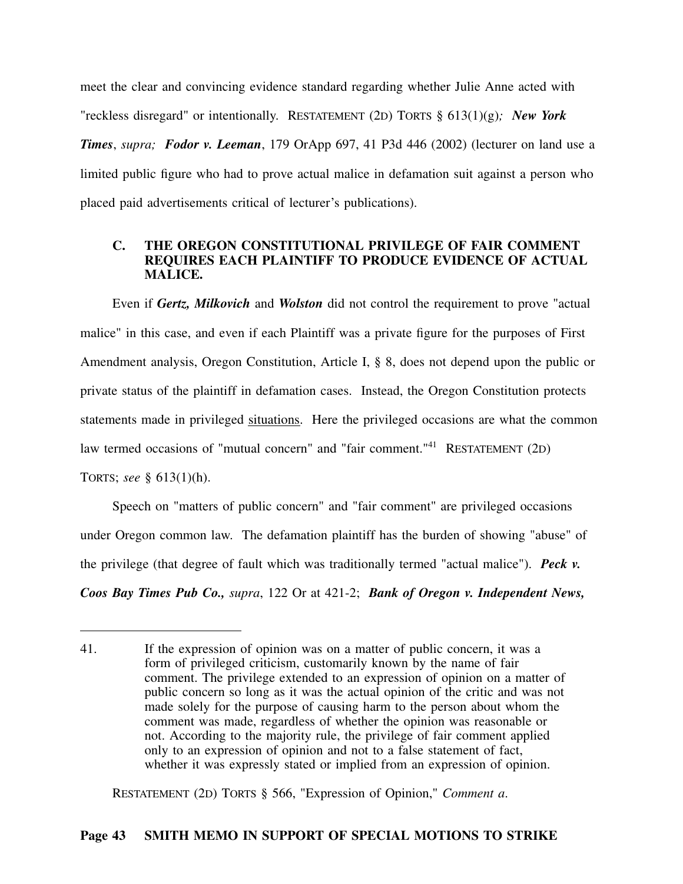meet the clear and convincing evidence standard regarding whether Julie Anne acted with "reckless disregard" or intentionally. RESTATEMENT (2D) TORTS § 613(1)(g)*; New York Times*, *supra; Fodor v. Leeman*, 179 OrApp 697, 41 P3d 446 (2002) (lecturer on land use a limited public figure who had to prove actual malice in defamation suit against a person who placed paid advertisements critical of lecturer's publications).

### **C. THE OREGON CONSTITUTIONAL PRIVILEGE OF FAIR COMMENT REQUIRES EACH PLAINTIFF TO PRODUCE EVIDENCE OF ACTUAL MALICE.**

Even if *Gertz, Milkovich* and *Wolston* did not control the requirement to prove "actual malice" in this case, and even if each Plaintiff was a private figure for the purposes of First Amendment analysis, Oregon Constitution, Article I, § 8, does not depend upon the public or private status of the plaintiff in defamation cases. Instead, the Oregon Constitution protects statements made in privileged situations. Here the privileged occasions are what the common law termed occasions of "mutual concern" and "fair comment."<sup>41</sup> RESTATEMENT (2D) TORTS; *see* § 613(1)(h).

Speech on "matters of public concern" and "fair comment" are privileged occasions under Oregon common law. The defamation plaintiff has the burden of showing "abuse" of the privilege (that degree of fault which was traditionally termed "actual malice"). *Peck v. Coos Bay Times Pub Co., supra*, 122 Or at 421-2; *Bank of Oregon v. Independent News,*

RESTATEMENT (2D) TORTS § 566, "Expression of Opinion," *Comment a*.

<sup>41.</sup> If the expression of opinion was on a matter of public concern, it was a form of privileged criticism, customarily known by the name of fair comment. The privilege extended to an expression of opinion on a matter of public concern so long as it was the actual opinion of the critic and was not made solely for the purpose of causing harm to the person about whom the comment was made, regardless of whether the opinion was reasonable or not. According to the majority rule, the privilege of fair comment applied only to an expression of opinion and not to a false statement of fact, whether it was expressly stated or implied from an expression of opinion.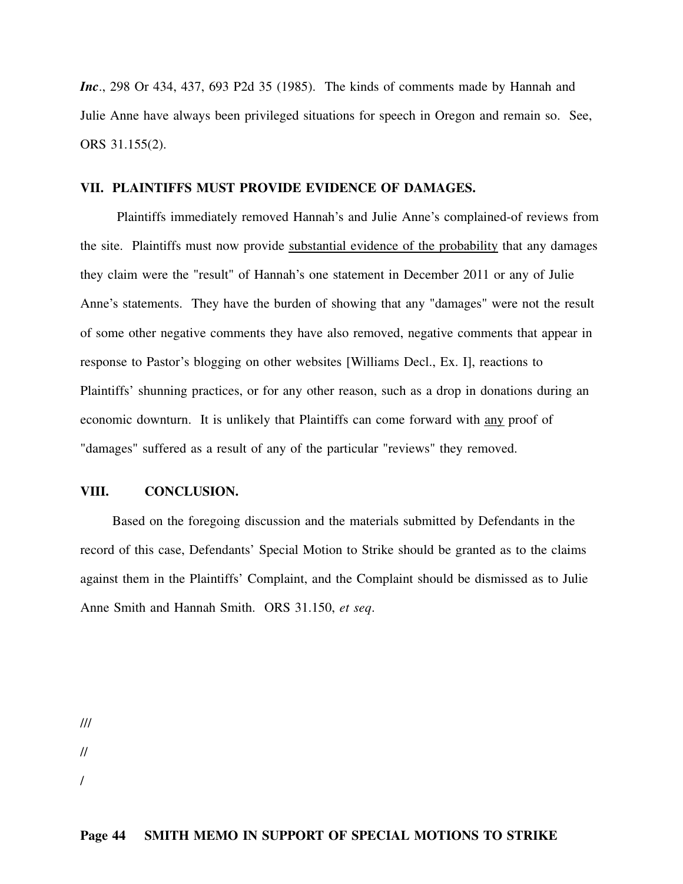*Inc*., 298 Or 434, 437, 693 P2d 35 (1985). The kinds of comments made by Hannah and Julie Anne have always been privileged situations for speech in Oregon and remain so. See, ORS 31.155(2).

#### **VII. PLAINTIFFS MUST PROVIDE EVIDENCE OF DAMAGES.**

Plaintiffs immediately removed Hannah's and Julie Anne's complained-of reviews from the site. Plaintiffs must now provide substantial evidence of the probability that any damages they claim were the "result" of Hannah's one statement in December 2011 or any of Julie Anne's statements. They have the burden of showing that any "damages" were not the result of some other negative comments they have also removed, negative comments that appear in response to Pastor's blogging on other websites [Williams Decl., Ex. I], reactions to Plaintiffs' shunning practices, or for any other reason, such as a drop in donations during an economic downturn. It is unlikely that Plaintiffs can come forward with any proof of "damages" suffered as a result of any of the particular "reviews" they removed.

## **VIII. CONCLUSION.**

Based on the foregoing discussion and the materials submitted by Defendants in the record of this case, Defendants' Special Motion to Strike should be granted as to the claims against them in the Plaintiffs' Complaint, and the Complaint should be dismissed as to Julie Anne Smith and Hannah Smith. ORS 31.150, *et seq*.

///

//

/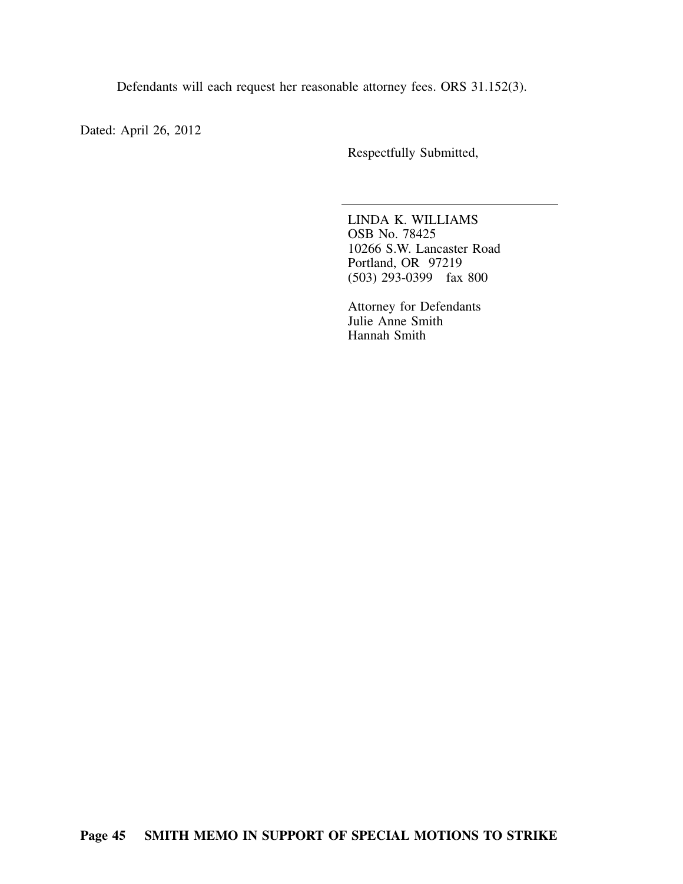Defendants will each request her reasonable attorney fees. ORS 31.152(3).

Dated: April 26, 2012

Respectfully Submitted,

LINDA K. WILLIAMS OSB No. 78425 10266 S.W. Lancaster Road Portland, OR 97219 (503) 293-0399 fax 800

Attorney for Defendants Julie Anne Smith Hannah Smith